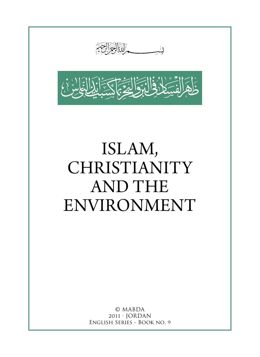لشصص التأليج الصر



# Islam, **CHRISTIANITY** AND THE Environment

© MABDA 2011 · Jordan English Series - Book NO. 9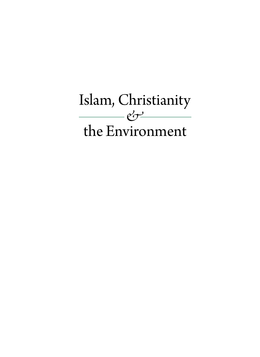# Islam, Christianity *&* the Environment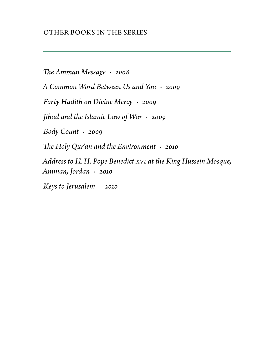### Other Books in the Series

*The Amman Message · 2008* 

*A Common Word Between Us and You · 2009*

*Forty Hadith on Divine Mercy · 2009*

*Jihad and the Islamic Law of War · 2009*

*Body Count · 2009*

*The Holy Qur'an and the Environment · 2010*

*Address to H.H. Pope Benedict XVI at the King Hussein Mosque, Amman, Jordan · 2010*

*Keys to Jerusalem · 2010*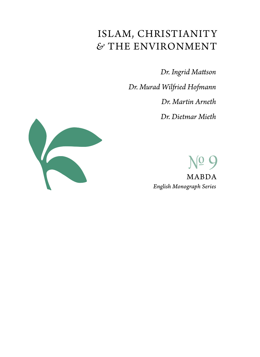### Islam, Christianity *&* The Environment

*Dr. Ingrid Mattson*

*Dr. Murad Wilfried Hofmann*

*Dr. Martin Arneth* 

*Dr. Dietmar Mieth*



 $N<sup>0</sup>9$ <br>Marda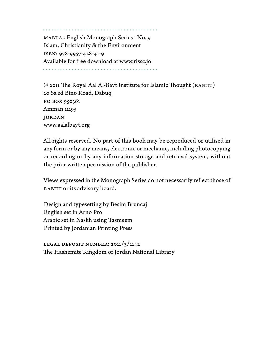· · · · · · · · · · · · · · · · · · · · · · · · · · · · · · · · · · · · · · · · MABDA · English Monograph Series · No. 9 Islam, Christianity & the Environment ISBN: 978-9957-428-41-9 Available for free download at www.rissc.jo · · · · · · · · · · · · · · · · · · · · · · · · · · · · · · · · · · · · · · · ·

© 2011 The Royal Aal Al-Bayt Institute for Islamic Thought (RABIIT) 20 Sa'ed Bino Road, Dabuq PO BOX 950361 Amman 11195 JORDAN www.aalalbayt.org

All rights reserved. No part of this book may be reproduced or utilised in any form or by any means, electronic or mechanic, including photocopying or recording or by any information storage and retrieval system, without the prior written permission of the publisher.

Views expressed in the Monograph Series do not necessarily reflect those of RABIIT or its advisory board.

Design and typesetting by Besim Bruncaj English set in Arno Pro Arabic set in Naskh using Tasmeem Printed by Jordanian Printing Press

LEGAL DEPOSIT NUMBER: 2011/3/1142 The Hashemite Kingdom of Jordan National Library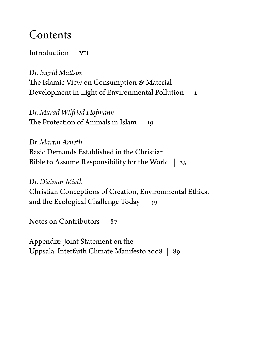### **Contents**

Introduction | VII

*Dr. Ingrid Mattson* The Islamic View on Consumption *&* Material Development in Light of Environmental Pollution | 1

*Dr. Murad Wilfried Hofmann* The Protection of Animals in Islam | 19

*Dr. Martin Arneth* Basic Demands Established in the Christian Bible to Assume Responsibility for the World | 25

*Dr. Dietmar Mieth* Christian Conceptions of Creation, Environmental Ethics, and the Ecological Challenge Today | 39

Notes on Contributors | 87

Appendix: Joint Statement on the Uppsala Interfaith Climate Manifesto 2008 | 89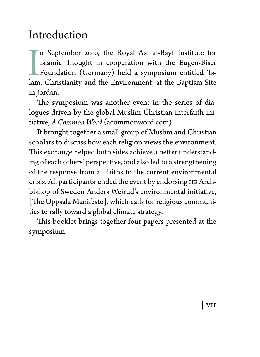### Introduction

 $\prod_{\text{lam}}$ n September 2010, the Royal Aal al-Bayt Institute for Islamic Thought in cooperation with the Eugen-Biser Foundation (Germany) held a symposium entitled 'Islam, Christianity and the Environment' at the Baptism Site in Jordan.

The symposium was another event in the series of dialogues driven by the global Muslim-Christian interfaith initiative, *A Common Word* (acommonword.com).

It brought together a small group of Muslim and Christian scholars to discuss how each religion views the environment. This exchange helped both sides achieve a better understanding of each others' perspective, and also led to a strengthening of the response from all faiths to the current environmental crisis. All participants ended the event by endorsing HE Archbishop of Sweden Anders Wejrud's environmental initiative, [The Uppsala Manifesto], which calls for religious communities to rally toward a global climate strategy.

This booklet brings together four papers presented at the symposium.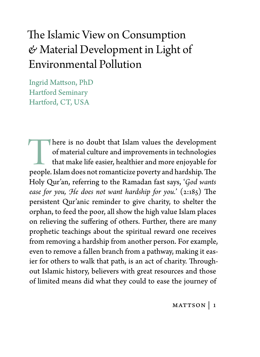# The Islamic View on Consumption *&* Material Development in Light of Environmental Pollution

Ingrid Mattson, PhD Hartford Seminary Hartford, CT, USA

There is no doubt that Islam values the development of material culture and improvements in technologies that make life easier, healthier and more enjoyable for people. Islam does not romanticize poverty and hardship. The of material culture and improvements in technologies that make life easier, healthier and more enjoyable for Holy Qur'an, referring to the Ramadan fast says, '*God wants ease for you, He does not want hardship for you.*' (2:185) The persistent Qur'anic reminder to give charity, to shelter the orphan, to feed the poor, all show the high value Islam places on relieving the suffering of others. Further, there are many prophetic teachings about the spiritual reward one receives from removing a hardship from another person. For example, even to remove a fallen branch from a pathway, making it easier for others to walk that path, is an act of charity. Throughout Islamic history, believers with great resources and those of limited means did what they could to ease the journey of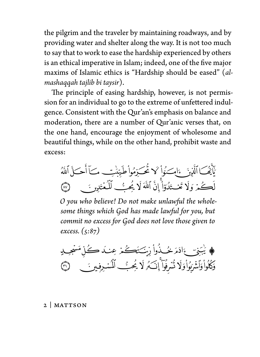the pilgrim and the traveler by maintaining roadways, and by providing water and shelter along the way. It is not too much to say that to work to ease the hardship experienced by others is an ethical imperative in Islam; indeed, one of the five major maxims of Islamic ethics is "Hardship should be eased" (almashaqqah tajlib bi taysir).

The principle of easing hardship, however, is not permission for an individual to go to the extreme of unfettered indulgence. Consistent with the Qur'an's emphasis on balance and moderation, there are a number of Qur'anic verses that, on the one hand, encourage the enjoyment of wholesome and beautiful things, while on the other hand, prohibit waste and excess.

نَأَنِّھُ)اَلَّذِينَ ءَامَےُواْ کُ<sup>ر</sup> مُحَسَّدَمُواْ طَيِّئِت مِسَا أَحَسَلَ ٱللَّهُ لَڪُمْ وَلَا تَعۡـَتُدُوٓا۟ٓانَّ ٱللَّهَ لَا يُحۡثُ ۗ ٱلۡمُعۡتَدِۥ ؞َ

O you who believe! Do not make unlawful the wholesome things which God has made lawful for you, but commit no excess for God does not love those given to excess.  $(5:87)$ 

ءَادَهَ خُـذُواْ رْسَـتَڪْمَرْ عِنـدَ ڪُ وَكُلُواْ وَٱشْرَبُواْ وَلَا تُنْبِرُهُوٓاْ ۚ إِنَّكُمْ لَا يُحِبُّبُ ٱلۡمُنۡـٰرِفِينَ ِ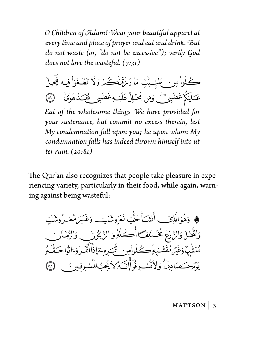O Children of Adam! Wear your beautiful apparel at every time and place of prayer and eat and drink. But do not waste (or, "do not be excessive"); verily God does not love the wasteful.  $(7:31)$ 



Eat of the wholesome things We have provided for vour sustenance, but commit no excess therein, lest My condemnation fall upon you; he upon whom My condemnation falls has indeed thrown himself into utter ruin.  $(20:81)$ 

The Qur'an also recognizes that people take pleasure in experiencing variety, particularly in their food, while again, warning against being wasteful:

MATTSON  $\vert$  3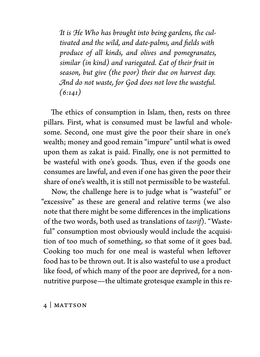*It is He Who has brought into being gardens, the cultivated and the wild, and date-palms, and fields with produce of all kinds, and olives and pomegranates, similar (in kind) and variegated. Eat of their fruit in season, but give (the poor) their due on harvest day. And do not waste, for God does not love the wasteful. (6:141)*

The ethics of consumption in Islam, then, rests on three pillars. First, what is consumed must be lawful and wholesome. Second, one must give the poor their share in one's wealth; money and good remain "impure" until what is owed upon them as zakat is paid. Finally, one is not permitted to be wasteful with one's goods. Thus, even if the goods one consumes are lawful, and even if one has given the poor their share of one's wealth, it is still not permissible to be wasteful.

Now, the challenge here is to judge what is "wasteful" or "excessive" as these are general and relative terms (we also note that there might be some differences in the implications of the two words, both used as translations of *tasrif*). "Wasteful" consumption most obviously would include the acquisition of too much of something, so that some of it goes bad. Cooking too much for one meal is wasteful when leftover food has to be thrown out. It is also wasteful to use a product like food, of which many of the poor are deprived, for a nonnutritive purpose—the ultimate grotesque example in this re-

4 | Mattson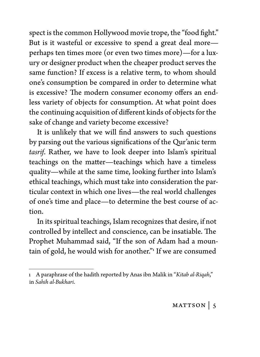spect is the common Hollywood movie trope, the "food fight." But is it wasteful or excessive to spend a great deal more perhaps ten times more (or even two times more)—for a luxury or designer product when the cheaper product serves the same function? If excess is a relative term, to whom should one's consumption be compared in order to determine what is excessive? The modern consumer economy offers an endless variety of objects for consumption. At what point does the continuing acquisition of different kinds of objects for the sake of change and variety become excessive?

It is unlikely that we will find answers to such questions by parsing out the various significations of the Qur'anic term *tasrif*. Rather, we have to look deeper into Islam's spiritual teachings on the matter—teachings which have a timeless quality—while at the same time, looking further into Islam's ethical teachings, which must take into consideration the particular context in which one lives—the real world challenges of one's time and place—to determine the best course of action.

In its spiritual teachings, Islam recognizes that desire, if not controlled by intellect and conscience, can be insatiable. The Prophet Muhammad said, "If the son of Adam had a mountain of gold, he would wish for another." If we are consumed

<sup>1</sup> A paraphrase of the hadith reported by Anas ibn Malik in "*Kitab al-Riqah*," in *Sahih al-Bukhari*.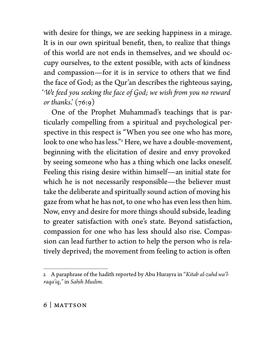with desire for things, we are seeking happiness in a mirage. It is in our own spiritual benefit, then, to realize that things of this world are not ends in themselves, and we should occupy ourselves, to the extent possible, with acts of kindness and compassion—for it is in service to others that we find the face of God; as the Qur'an describes the righteous saying, '*We feed you seeking the face of God; we wish from you no reward or thanks*.' (76:9)

One of the Prophet Muhammad's teachings that is particularly compelling from a spiritual and psychological perspective in this respect is "When you see one who has more, look to one who has less."<sup>2</sup> Here, we have a double-movement, beginning with the elicitation of desire and envy provoked by seeing someone who has a thing which one lacks oneself. Feeling this rising desire within himself—an initial state for which he is not necessarily responsible—the believer must take the deliberate and spiritually sound action of moving his gaze from what he has not, to one who has even less then him. Now, envy and desire for more things should subside, leading to greater satisfaction with one's state. Beyond satisfaction, compassion for one who has less should also rise. Compassion can lead further to action to help the person who is relatively deprived; the movement from feeling to action is often

<sup>2</sup> A paraphrase of the hadith reported by Abu Hurayra in "*Kitab al-zuhd wa'lraqa'iq,"* in *Sahih Muslim.*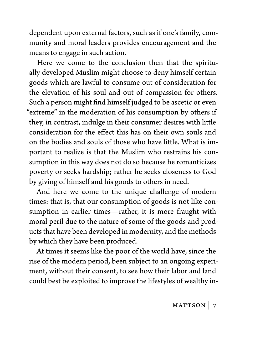dependent upon external factors, such as if one's family, community and moral leaders provides encouragement and the means to engage in such action.

Here we come to the conclusion then that the spiritually developed Muslim might choose to deny himself certain goods which are lawful to consume out of consideration for the elevation of his soul and out of compassion for others. Such a person might find himself judged to be ascetic or even "extreme" in the moderation of his consumption by others if they, in contrast, indulge in their consumer desires with little consideration for the effect this has on their own souls and on the bodies and souls of those who have little. What is important to realize is that the Muslim who restrains his consumption in this way does not do so because he romanticizes poverty or seeks hardship; rather he seeks closeness to God by giving of himself and his goods to others in need.

And here we come to the unique challenge of modern times: that is, that our consumption of goods is not like consumption in earlier times—rather, it is more fraught with moral peril due to the nature of some of the goods and products that have been developed in modernity, and the methods by which they have been produced.

At times it seems like the poor of the world have, since the rise of the modern period, been subject to an ongoing experiment, without their consent, to see how their labor and land could best be exploited to improve the lifestyles of wealthy in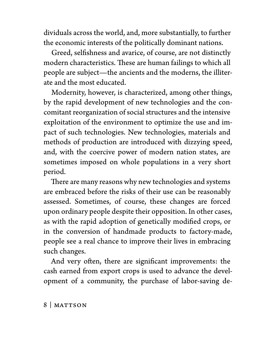dividuals across the world, and, more substantially, to further the economic interests of the politically dominant nations.

Greed, selfishness and avarice, of course, are not distinctly modern characteristics. These are human failings to which all people are subject—the ancients and the moderns, the illiterate and the most educated.

Modernity, however, is characterized, among other things, by the rapid development of new technologies and the concomitant reorganization of social structures and the intensive exploitation of the environment to optimize the use and impact of such technologies. New technologies, materials and methods of production are introduced with dizzying speed, and, with the coercive power of modern nation states, are sometimes imposed on whole populations in a very short period.

There are many reasons why new technologies and systems are embraced before the risks of their use can be reasonably assessed. Sometimes, of course, these changes are forced upon ordinary people despite their opposition. In other cases, as with the rapid adoption of genetically modified crops, or in the conversion of handmade products to factory-made, people see a real chance to improve their lives in embracing such changes.

And very often, there are significant improvements: the cash earned from export crops is used to advance the development of a community, the purchase of labor-saving de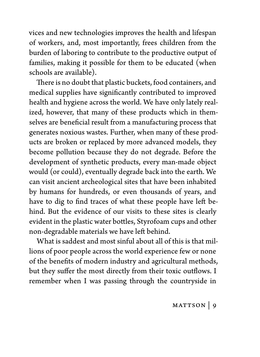vices and new technologies improves the health and lifespan of workers, and, most importantly, frees children from the burden of laboring to contribute to the productive output of families, making it possible for them to be educated (when schools are available).

There is no doubt that plastic buckets, food containers, and medical supplies have significantly contributed to improved health and hygiene across the world. We have only lately realized, however, that many of these products which in themselves are beneficial result from a manufacturing process that generates noxious wastes. Further, when many of these products are broken or replaced by more advanced models, they become pollution because they do not degrade. Before the development of synthetic products, every man-made object would (or could), eventually degrade back into the earth. We can visit ancient archeological sites that have been inhabited by humans for hundreds, or even thousands of years, and have to dig to find traces of what these people have left behind. But the evidence of our visits to these sites is clearly evident in the plastic water bottles, Styrofoam cups and other non-degradable materials we have left behind.

What is saddest and most sinful about all of this is that millions of poor people across the world experience few or none of the benefits of modern industry and agricultural methods, but they suffer the most directly from their toxic outflows. I remember when I was passing through the countryside in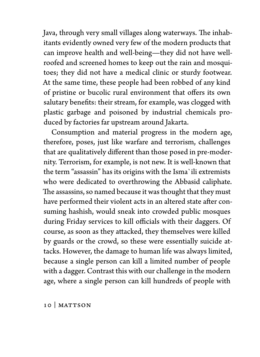Java, through very small villages along waterways. The inhabitants evidently owned very few of the modern products that can improve health and well-being—they did not have wellroofed and screened homes to keep out the rain and mosquitoes; they did not have a medical clinic or sturdy footwear. At the same time, these people had been robbed of any kind of pristine or bucolic rural environment that offers its own salutary benefits: their stream, for example, was clogged with plastic garbage and poisoned by industrial chemicals produced by factories far upstream around Jakarta.

Consumption and material progress in the modern age, therefore, poses, just like warfare and terrorism, challenges that are qualitatively different than those posed in pre-modernity. Terrorism, for example, is not new. It is well-known that the term "assassin" has its origins with the Isma`ili extremists who were dedicated to overthrowing the Abbasid caliphate. The assassins, so named because it was thought that they must have performed their violent acts in an altered state after consuming hashish, would sneak into crowded public mosques during Friday services to kill officials with their daggers. Of course, as soon as they attacked, they themselves were killed by guards or the crowd, so these were essentially suicide attacks. However, the damage to human life was always limited, because a single person can kill a limited number of people with a dagger. Contrast this with our challenge in the modern age, where a single person can kill hundreds of people with

10 | Mattson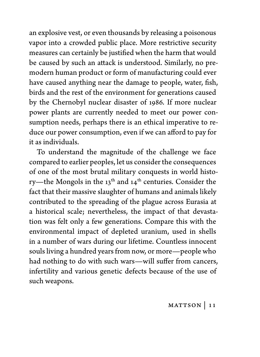an explosive vest, or even thousands by releasing a poisonous vapor into a crowded public place. More restrictive security measures can certainly be justified when the harm that would be caused by such an attack is understood. Similarly, no premodern human product or form of manufacturing could ever have caused anything near the damage to people, water, fish, birds and the rest of the environment for generations caused by the Chernobyl nuclear disaster of 1986. If more nuclear power plants are currently needed to meet our power consumption needs, perhaps there is an ethical imperative to reduce our power consumption, even if we can afford to pay for it as individuals.

To understand the magnitude of the challenge we face compared to earlier peoples, let us consider the consequences of one of the most brutal military conquests in world history—the Mongols in the 13<sup>th</sup> and 14<sup>th</sup> centuries. Consider the fact that their massive slaughter of humans and animals likely contributed to the spreading of the plague across Eurasia at a historical scale; nevertheless, the impact of that devastation was felt only a few generations. Compare this with the environmental impact of depleted uranium, used in shells in a number of wars during our lifetime. Countless innocent souls living a hundred years from now, or more—people who had nothing to do with such wars—will suffer from cancers, infertility and various genetic defects because of the use of such weapons.

MATTSON | 11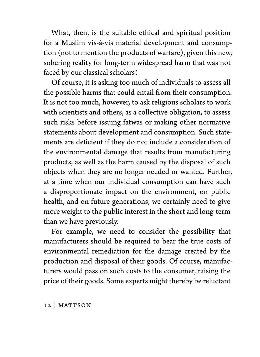What, then, is the suitable ethical and spiritual position for a Muslim vis-à-vis material development and consumption (not to mention the products of warfare), given this new, sobering reality for long-term widespread harm that was not faced by our classical scholars?

Of course, it is asking too much of individuals to assess all the possible harms that could entail from their consumption. It is not too much, however, to ask religious scholars to work with scientists and others, as a collective obligation, to assess such risks before issuing fatwas or making other normative statements about development and consumption. Such statements are deficient if they do not include a consideration of the environmental damage that results from manufacturing products, as well as the harm caused by the disposal of such objects when they are no longer needed or wanted. Further, at a time when our individual consumption can have such a disproportionate impact on the environment, on public health, and on future generations, we certainly need to give more weight to the public interest in the short and long-term than we have previously.

For example, we need to consider the possibility that manufacturers should be required to bear the true costs of environmental remediation for the damage created by the production and disposal of their goods. Of course, manufacturers would pass on such costs to the consumer, raising the price of their goods. Some experts might thereby be reluctant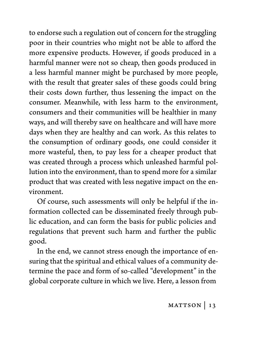to endorse such a regulation out of concern for the struggling poor in their countries who might not be able to afford the more expensive products. However, if goods produced in a harmful manner were not so cheap, then goods produced in a less harmful manner might be purchased by more people, with the result that greater sales of these goods could bring their costs down further, thus lessening the impact on the consumer. Meanwhile, with less harm to the environment, consumers and their communities will be healthier in many ways, and will thereby save on healthcare and will have more days when they are healthy and can work. As this relates to the consumption of ordinary goods, one could consider it more wasteful, then, to pay less for a cheaper product that was created through a process which unleashed harmful pollution into the environment, than to spend more for a similar product that was created with less negative impact on the environment.

Of course, such assessments will only be helpful if the information collected can be disseminated freely through public education, and can form the basis for public policies and regulations that prevent such harm and further the public good.

In the end, we cannot stress enough the importance of ensuring that the spiritual and ethical values of a community determine the pace and form of so-called "development" in the global corporate culture in which we live. Here, a lesson from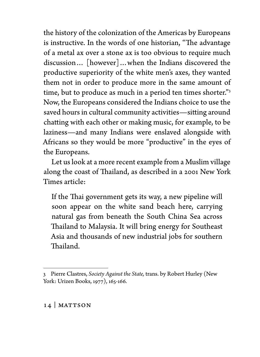the history of the colonization of the Americas by Europeans is instructive. In the words of one historian, "The advantage of a metal ax over a stone ax is too obvious to require much discussion… [however]…when the Indians discovered the productive superiority of the white men's axes, they wanted them not in order to produce more in the same amount of time, but to produce as much in a period ten times shorter."<sup>3</sup> Now, the Europeans considered the Indians choice to use the saved hours in cultural community activities—sitting around chatting with each other or making music, for example, to be laziness—and many Indians were enslaved alongside with Africans so they would be more "productive" in the eyes of the Europeans.

Let us look at a more recent example from a Muslim village along the coast of Thailand, as described in a 2001 New York Times article:

If the Thai government gets its way, a new pipeline will soon appear on the white sand beach here, carrying natural gas from beneath the South China Sea across Thailand to Malaysia. It will bring energy for Southeast Asia and thousands of new industrial jobs for southern Thailand.

<sup>3</sup> Pierre Clastres, *Society Against the State,* trans. by Robert Hurley (New York: Urizen Books, 1977), 165-166.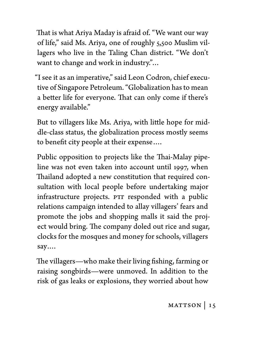That is what Ariya Maday is afraid of. "We want our way of life," said Ms. Ariya, one of roughly 5,500 Muslim villagers who live in the Taling Chan district. "We don't want to change and work in industry."…

"I see it as an imperative," said Leon Codron, chief executive of Singapore Petroleum. "Globalization has to mean a better life for everyone. That can only come if there's energy available."

But to villagers like Ms. Ariya, with little hope for middle-class status, the globalization process mostly seems to benefit city people at their expense….

Public opposition to projects like the Thai-Malay pipeline was not even taken into account until 1997, when Thailand adopted a new constitution that required consultation with local people before undertaking major infrastructure projects. PTT responded with a public relations campaign intended to allay villagers' fears and promote the jobs and shopping malls it said the project would bring. The company doled out rice and sugar, clocks for the mosques and money for schools, villagers say….

The villagers—who make their living fishing, farming or raising songbirds—were unmoved. In addition to the risk of gas leaks or explosions, they worried about how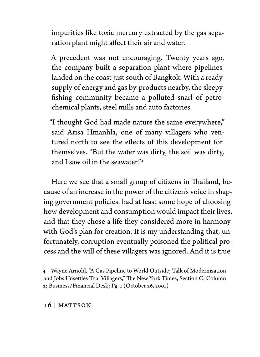impurities like toxic mercury extracted by the gas separation plant might affect their air and water.

A precedent was not encouraging. Twenty years ago, the company built a separation plant where pipelines landed on the coast just south of Bangkok. With a ready supply of energy and gas by-products nearby, the sleepy fishing community became a polluted snarl of petrochemical plants, steel mills and auto factories.

"I thought God had made nature the same everywhere," said Arisa Hmanhla, one of many villagers who ventured north to see the effects of this development for themselves. "But the water was dirty, the soil was dirty, and I saw oil in the seawater."<sup>4</sup>

Here we see that a small group of citizens in Thailand, because of an increase in the power of the citizen's voice in shaping government policies, had at least some hope of choosing how development and consumption would impact their lives, and that they chose a life they considered more in harmony with God's plan for creation. It is my understanding that, unfortunately, corruption eventually poisoned the political process and the will of these villagers was ignored. And it is true

<sup>4</sup> Wayne Arnold, "A Gas Pipeline to World Outside; Talk of Modernization and Jobs Unsettles Thai Villagers," The New York Times, Section C; Column 2; Business/Financial Desk; Pg. 1 (October 26, 2001)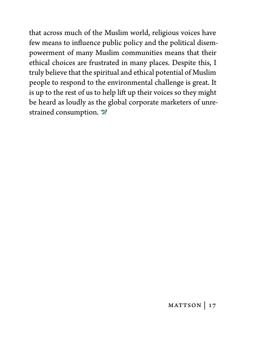that across much of the Muslim world, religious voices have few means to influence public policy and the political disempowerment of many Muslim communities means that their ethical choices are frustrated in many places. Despite this, I truly believe that the spiritual and ethical potential of Muslim people to respond to the environmental challenge is great. It is up to the rest of us to help lift up their voices so they might be heard as loudly as the global corporate marketers of unrestrained consumption. �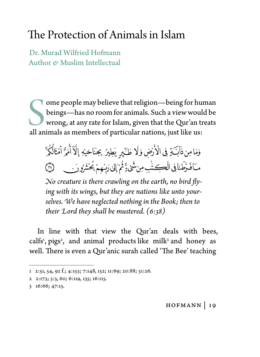## The Protection of Animals in Islam

Dr Murad Wilfried Hofmann Author & Muslim Intellectual

ome people may believe that religion-being for human beings-has no room for animals. Such a view would be wrong, at any rate for Islam, given that the Qur'an treats all animals as members of particular nations, just like us:

وَمَا مِن دَابَ ۖ فِي الْأَرْضِ وَلَا طَلَبِرٍ يَطِيرُ بِجَنَاحَيْهِ إِلَّا أُمَرُّ أَمْثَالُكُمْ ۚ مَاَفَدَّطْنَا فِي الْڪتُبِ مِن شَيْءٌ ثُمَّ إِلّي دَيْسِمْ بُحُنْشَرُو دَ مِنْ هِيَ الْكَتَافِي الْ

No creature is there crawling on the earth, no bird flying with its wings, but they are nations like unto yourselves. We have neglected nothing in the Book; then to their  $2$  ord they shall be mustered.  $(6:38)$ 

In line with that view the Qur'an deals with bees, calfs<sup>1</sup>, pigs<sup>2</sup>, and animal products like milk<sup>3</sup> and honey as well. There is even a Qur'anic surah called 'The Bee' teaching

<sup>1 2:51, 54, 92</sup> f.; 4:153; 7:148, 152; 11:69; 20:88; 51:26.

<sup>2 2:173; 5:3, 60; 6:119, 135; 16:115.</sup> 

<sup>3 16:66: 47:15.</sup>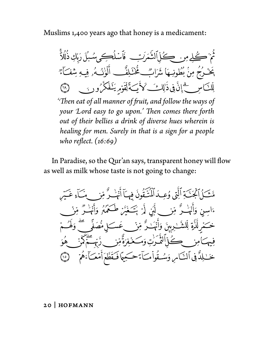Muslims 1,400 years ago that honey is a medicament:

ڪ سُنگ رَبَّكِ ذُلُلاً فنيق أجحج میں دیئی کے آ<sup>پور</sup> بور<br>نېرىق ۋېرىشفە حَيَّانَ فِي ذَٰلِكَ كَأَكَ أَلِّقَوْمِهِ يَنَفَكَّرُ  $\bigcirc$ 

'Then eat of all manner of fruit, and follow the ways of your Lord easy to go upon.' Then comes there forth out of their bellies a drink of diverse hues wherein is healing for men. Surely in that is a sign for a people who reflect.  $(16:69)$ 

In Paradise, so the Qur'an says, transparent honey will flow as well as milk whose taste is not going to change:

أَكْمَنَهَ أَلَىٰٓ وُعِيدَ ٱلۡمُتَّقُّدُنَ ف ييميم لَهُ: { ř, خــٰلدٌ فِي ٱلنِّبَامِرِ وَبِسُـِقُواْ مِبَأَءً حِسَ ىما فَتَقَطَعَ أَمْعَـَآءَ

#### 20 | HOFMANN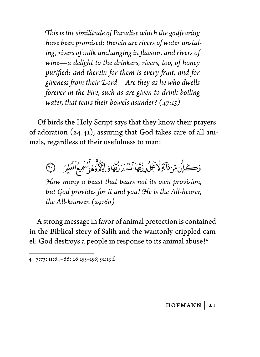This is the similitude of Paradise which the godfearing have been promised: therein are rivers of water unstaling, rivers of milk unchanging in flavour, and rivers of wine—a delight to the drinkers, rivers, too, of honey purified; and therein for them is every fruit, and forgiveness from their Lord—Are they as he who dwells forever in the Fire, such as are given to drink boiling water, that tears their bowels asunder?  $(47:15)$ 

Of birds the Holy Script says that they know their prayers of adoration  $(24:41)$ , assuring that God takes care of all animals, regardless of their usefulness to man:

وَكَأِنْ مِن ذَآبَةٍ لَاتَّخِلُ رِزْقَهَا آللَهُ يَرْزُقُهَا وَ إِيَّا كُرُّوْهُ وَلِسَّمِيمُ ٱلْعَلِيرُ ﴾ (نَ How many a beast that bears not its own provision, but God provides for it and you! He is the All-hearer, the All-knower.  $(29:60)$ 

A strong message in favor of animal protection is contained in the Biblical story of Salih and the wantonly crippled camel: God destroys a people in response to its animal abuse!<sup>4</sup>

<sup>4 7:73; 11:64-66; 26:155-158; 91:13</sup> f.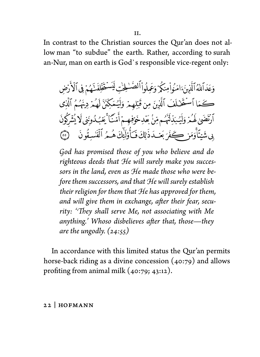In contrast to the Christian sources the Qur'an does not allow man "to subdue" the earth. Rather, according to surah an-Nur, man on earth is God's responsible vice-regent only:

وَعَدَاْلِلَهُ ٱلَّذِينَ امَنُهُ أَمِنكُمْ وَعَمِلُهِ أَلْصَلْهِ كَـمَا ٱسْتَخَلَفَ ٱلَّذِينَ مِن قَبْلِهِمْ وَلَيُـمَكِّنَّ لَهُمْ دِينَهُـمُ ٱلَّذِي ٱدْتَضَىٰ هَٰهُ وَلَيُبَدِّلَيَّهُ مِمّزُ مَعْدِخَوْصِهِ أَمْيَأَ تَعْيُدُونَنِي لَا دُشْرَكُانَ شَنَأْوَمَ; ڪَفَرَ بَعْبَدَ ذَالِكَ فَبَأَوْلَٰئِكَ هُـمُ ٱلْفَنْسِقُو نَ

God has promised those of you who believe and do righteous deeds that He will surely make you successors in the land, even as He made those who were before them successors, and that He will surely establish their religion for them that He has approved for them. and will give them in exchange, after their fear, security: 'They shall serve Me, not associating with Me anything.' Whoso disbelieves after that, those—they are the ungodly.  $(24:55)$ 

In accordance with this limited status the Qur'an permits horse-back riding as a divine concession  $(40:79)$  and allows profiting from animal milk  $(40:79; 43:12)$ .

#### 22 HOFMANN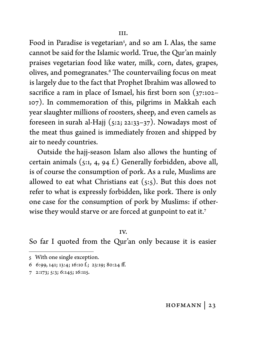Food in Paradise is vegetarian<sup>5</sup>, and so am I. Alas, the same cannot be said for the Islamic world. True, the Qur'an mainly praises vegetarian food like water, milk, corn, dates, grapes, olives, and pomegranates.<sup>6</sup> The countervailing focus on meat is largely due to the fact that Prophet Ibrahim was allowed to sacrifice a ram in place of Ismael, his first born son (37:102– 107). In commemoration of this, pilgrims in Makkah each year slaughter millions of roosters, sheep, and even camels as foreseen in surah al-Hajj  $(s:2; 22:33-37)$ . Nowadays most of the meat thus gained is immediately frozen and shipped by

Outside the hajj-season Islam also allows the hunting of certain animals (5:1, 4, 94 f.) Generally forbidden, above all, is of course the consumption of pork. As a rule, Muslims are allowed to eat what Christians eat  $(s; s)$ . But this does not refer to what is expressly forbidden, like pork. There is only one case for the consumption of pork by Muslims: if otherwise they would starve or are forced at gunpoint to eat it.<sup>7</sup>

IV.

So far I quoted from the Qur'an only because it is easier

air to needy countries.

7 2:173; 5:3; 6:145; 16:115.

<sup>5</sup> With one single exception.

<sup>6 6:99, 141;</sup> 13:4; 16:10 f.; 23:19; 80:24 ff.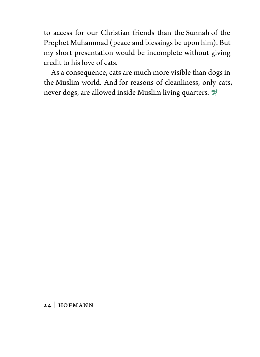to access for our Christian friends than the Sunnah of the Prophet Muhammad (peace and blessings be upon him). But my short presentation would be incomplete without giving credit to his love of cats.

As a consequence, cats are much more visible than dogs in the Muslim world. And for reasons of cleanliness, only cats, never dogs, are allowed inside Muslim living quarters.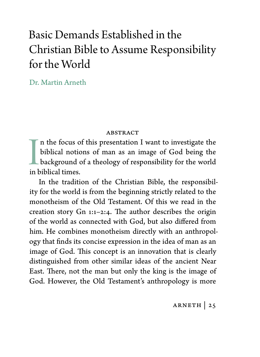# Basic Demands Established in the Christian Bible to Assume Responsibility for the World

Dr. Martin Arneth

#### **ABSTRACT**

I<br>in b n the focus of this presentation I want to investigate the biblical notions of man as an image of God being the background of a theology of responsibility for the world in biblical times.

 In the tradition of the Christian Bible, the responsibility for the world is from the beginning strictly related to the monotheism of the Old Testament. Of this we read in the creation story Gn 1:1–2:4. The author describes the origin of the world as connected with God, but also differed from him. He combines monotheism directly with an anthropology that finds its concise expression in the idea of man as an image of God. This concept is an innovation that is clearly distinguished from other similar ideas of the ancient Near East. There, not the man but only the king is the image of God. However, the Old Testament's anthropology is more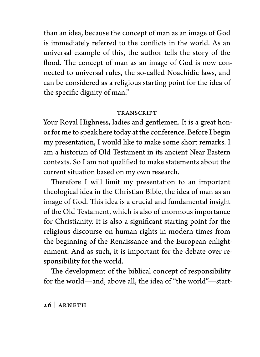than an idea, because the concept of man as an image of God is immediately referred to the conflicts in the world. As an universal example of this, the author tells the story of the flood. The concept of man as an image of God is now connected to universal rules, the so-called Noachidic laws, and can be considered as a religious starting point for the idea of the specific dignity of man."

### transcript

Your Royal Highness, ladies and gentlemen. It is a great honor for me to speak here today at the conference. Before I begin my presentation, I would like to make some short remarks. I am a historian of Old Testament in its ancient Near Eastern contexts. So I am not qualified to make statements about the current situation based on my own research.

Therefore I will limit my presentation to an important theological idea in the Christian Bible, the idea of man as an image of God. This idea is a crucial and fundamental insight of the Old Testament, which is also of enormous importance for Christianity. It is also a significant starting point for the religious discourse on human rights in modern times from the beginning of the Renaissance and the European enlightenment. And as such, it is important for the debate over responsibility for the world.

The development of the biblical concept of responsibility for the world—and, above all, the idea of "the world"—start-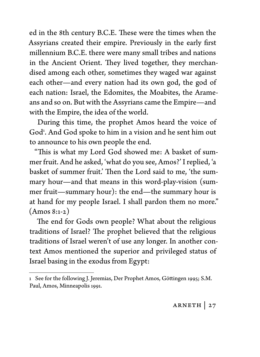ed in the 8th century B.C.E. These were the times when the Assyrians created their empire. Previously in the early first millennium B.C.E. there were many small tribes and nations in the Ancient Orient. They lived together, they merchandised among each other, sometimes they waged war against each other—and every nation had its own god, the god of each nation: Israel, the Edomites, the Moabites, the Arameans and so on. But with the Assyrians came the Empire—and with the Empire, the idea of the world.

During this time, the prophet Amos heard the voice of God<sup>1</sup> . And God spoke to him in a vision and he sent him out to announce to his own people the end.

"This is what my Lord God showed me: A basket of summer fruit. And he asked, 'what do you see, Amos?' I replied, 'a basket of summer fruit.' Then the Lord said to me, 'the summary hour—and that means in this word-play-vision (summer fruit—summary hour): the end—the summary hour is at hand for my people Israel. I shall pardon them no more."  $(Amos 8:1-2)$ 

The end for Gods own people? What about the religious traditions of Israel? The prophet believed that the religious traditions of Israel weren't of use any longer. In another context Amos mentioned the superior and privileged status of Israel basing in the exodus from Egypt:

<sup>1</sup>See for the following J. Jeremias, Der Prophet Amos, Göttingen 1995; S.M. Paul, Amos, Minneapolis 1991.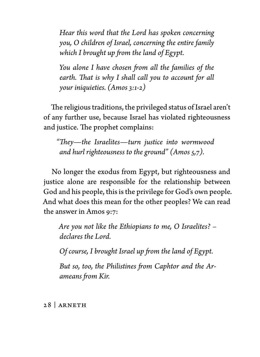*Hear this word that the Lord has spoken concerning you, O children of Israel, concerning the entire family which I brought up from the land of Egypt.* 

*You alone I have chosen from all the families of the*  earth. That is why I shall call you to account for all *your iniquieties. (Amos 3:1-2)*

The religious traditions, the privileged status of Israel aren't of any further use, because Israel has violated righteousness and justice. The prophet complains:

*"They—the Israelites—turn justice into wormwood and hurl righteousness to the ground" (Amos 5,7).*

No longer the exodus from Egypt, but righteousness and justice alone are responsible for the relationship between God and his people, this is the privilege for God's own people. And what does this mean for the other peoples? We can read the answer in Amos 9:7:

*Are you not like the Ethiopians to me, O Israelites? – declares the Lord.*

*Of course, I brought Israel up from the land of Egypt.* 

*But so, too, the Philistines from Caphtor and the Arameans from Kir.*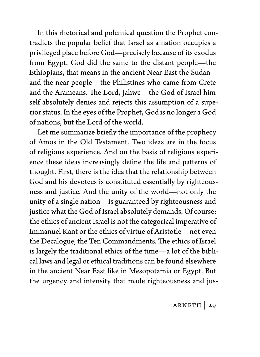In this rhetorical and polemical question the Prophet contradicts the popular belief that Israel as a nation occupies a privileged place before God—precisely because of its exodus from Egypt. God did the same to the distant people—the Ethiopians, that means in the ancient Near East the Sudan and the near people—the Philistines who came from Crete and the Arameans. The Lord, Jahwe—the God of Israel himself absolutely denies and rejects this assumption of a superior status. In the eyes of the Prophet, God is no longer a God of nations, but the Lord of the world.

Let me summarize briefly the importance of the prophecy of Amos in the Old Testament. Two ideas are in the focus of religious experience. And on the basis of religious experience these ideas increasingly define the life and patterns of thought. First, there is the idea that the relationship between God and his devotees is constituted essentially by righteousness and justice. And the unity of the world—not only the unity of a single nation—is guaranteed by righteousness and justice what the God of Israel absolutely demands. Of course: the ethics of ancient Israel is not the categorical imperative of Immanuel Kant or the ethics of virtue of Aristotle—not even the Decalogue, the Ten Commandments. The ethics of Israel is largely the traditional ethics of the time—a lot of the biblical laws and legal or ethical traditions can be found elsewhere in the ancient Near East like in Mesopotamia or Egypt. But the urgency and intensity that made righteousness and jus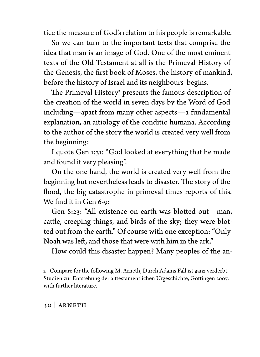tice the measure of God's relation to his people is remarkable.

So we can turn to the important texts that comprise the idea that man is an image of God. One of the most eminent texts of the Old Testament at all is the Primeval History of the Genesis, the first book of Moses, the history of mankind, before the history of Israel and its neighbours begins.

The Primeval History<sup>2</sup> presents the famous description of the creation of the world in seven days by the Word of God including—apart from many other aspects—a fundamental explanation, an aitiology of the conditio humana. According to the author of the story the world is created very well from the beginning:

I quote Gen 1:31: "God looked at everything that he made and found it very pleasing".

On the one hand, the world is created very well from the beginning but nevertheless leads to disaster. The story of the flood, the big catastrophe in primeval times reports of this. We find it in Gen 6-9:

Gen 8:23: "All existence on earth was blotted out—man, cattle, creeping things, and birds of the sky; they were blotted out from the earth." Of course with one exception: "Only Noah was left, and those that were with him in the ark."

How could this disaster happen? Many peoples of the an-

<sup>2</sup> Compare for the following M. Arneth, Durch Adams Fall ist ganz verderbt. Studien zur Entstehung der alttestamentlichen Urgeschichte, Göttingen 2007, with further literature.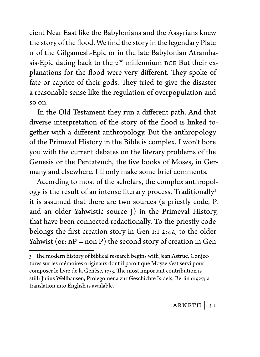cient Near East like the Babylonians and the Assyrians knew the story of the flood. We find the story in the legendary Plate 11 of the Gilgamesh-Epic or in the late Babylonian Atramhasis-Epic dating back to the 2<sup>nd</sup> millennium BCE But their explanations for the flood were very different. They spoke of fate or caprice of their gods. They tried to give the disaster a reasonable sense like the regulation of overpopulation and so on.

In the Old Testament they run a different path. And that diverse interpretation of the story of the flood is linked together with a different anthropology. But the anthropology of the Primeval History in the Bible is complex. I won't bore you with the current debates on the literary problems of the Genesis or the Pentateuch, the five books of Moses, in Germany and elsewhere. I'll only make some brief comments.

According to most of the scholars, the complex anthropology is the result of an intense literary process. Traditionally<sup>3</sup> it is assumed that there are two sources (a priestly code, P, and an older Yahwistic source J) in the Primeval History, that have been connected redactionally. To the priestly code belongs the first creation story in Gen 1:1-2:4a, to the older Yahwist (or:  $nP = non P$ ) the second story of creation in Gen

<sup>3</sup> The modern history of biblical research begins with Jean Astruc, Conjectures sur les mémoires originaux dont il paroit que Moyse s'est servi pour composer le livre de la Genèse, 1753. The most important contribution is still: Julius Wellhausen, Prolegomena zur Geschichte Israels, Berlin 61927; a translation into English is available.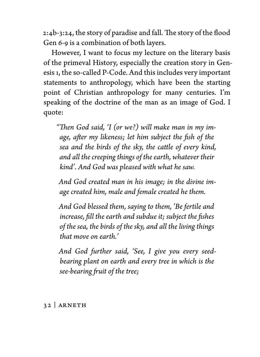2:4b-3:24, the story of paradise and fall. The story of the flood Gen 6-9 is a combination of both layers.

However, I want to focus my lecture on the literary basis of the primeval History, especially the creation story in Genesis 1, the so-called P-Code. And this includes very important statements to anthropology, which have been the starting point of Christian anthropology for many centuries. I'm speaking of the doctrine of the man as an image of God. I quote:

*"Then God said, 'I (or we?) will make man in my image, after my likeness; let him subject the fish of the sea and the birds of the sky, the cattle of every kind, and all the creeping things of the earth, whatever their kind'. And God was pleased with what he saw.*

*And God created man in his image; in the divine image created him, male and female created he them.*

*And God blessed them, saying to them, 'Be fertile and increase, fill the earth and subdue it; subject the fishes of the sea, the birds of the sky, and all the living things that move on earth.'*

*And God further said, 'See, I give you every seedbearing plant on earth and every tree in which is the see-bearing fruit of the tree;*

#### 32 | Arneth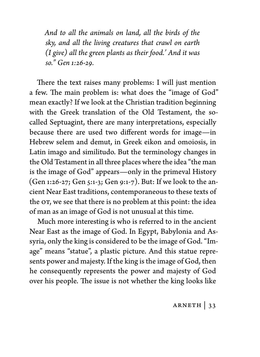*And to all the animals on land, all the birds of the sky, and all the living creatures that crawl on earth (I give) all the green plants as their food.' And it was so." Gen 1:26-29.*

There the text raises many problems: I will just mention a few. The main problem is: what does the "image of God" mean exactly? If we look at the Christian tradition beginning with the Greek translation of the Old Testament, the socalled Septuagint, there are many interpretations, especially because there are used two different words for image—in Hebrew selem and demut, in Greek eikon and omoiosis, in Latin imago and similitudo. But the terminology changes in the Old Testament in all three places where the idea "the man is the image of God" appears—only in the primeval History (Gen 1:26-27; Gen 5:1-3; Gen 9:1-7). But: If we look to the ancient Near East traditions, contemporaneous to these texts of the OT, we see that there is no problem at this point: the idea of man as an image of God is not unusual at this time.

Much more interesting is who is referred to in the ancient Near East as the image of God. In Egypt, Babylonia and Assyria, only the king is considered to be the image of God. "Image" means "statue", a plastic picture. And this statue represents power and majesty. If the king is the image of God, then he consequently represents the power and majesty of God over his people. The issue is not whether the king looks like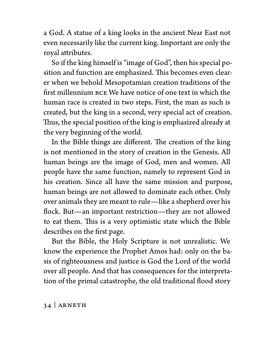a God. A statue of a king looks in the ancient Near East not even necessarily like the current king. Important are only the royal attributes.

So if the king himself is "image of God", then his special position and function are emphasized. This becomes even clearer when we behold Mesopotamian creation traditions of the first millennium bce We have notice of one text in which the human race is created in two steps. First, the man as such is created, but the king in a second, very special act of creation. Thus, the special position of the king is emphasized already at the very beginning of the world.

In the Bible things are different. The creation of the king is not mentioned in the story of creation in the Genesis. All human beings are the image of God, men and women. All people have the same function, namely to represent God in his creation. Since all have the same mission and purpose, human beings are not allowed to dominate each other. Only over animals they are meant to rule—like a shepherd over his flock. But—an important restriction—they are not allowed to eat them. This is a very optimistic state which the Bible describes on the first page.

But the Bible, the Holy Scripture is not unrealistic. We know the experience the Prophet Amos had: only on the basis of righteousness and justice is God the Lord of the world over all people. And that has consequences for the interpretation of the primal catastrophe, the old traditional flood story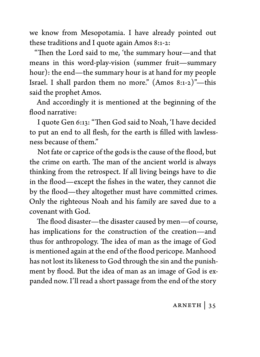we know from Mesopotamia. I have already pointed out these traditions and I quote again Amos 8:1-2:

"Then the Lord said to me, 'the summary hour—and that means in this word-play-vision (summer fruit—summary hour): the end—the summary hour is at hand for my people Israel. I shall pardon them no more." (Amos 8:1-2)"—this said the prophet Amos.

And accordingly it is mentioned at the beginning of the flood narrative:

I quote Gen 6:13: "Then God said to Noah, 'I have decided to put an end to all flesh, for the earth is filled with lawlessness because of them."

Not fate or caprice of the gods is the cause of the flood, but the crime on earth. The man of the ancient world is always thinking from the retrospect. If all living beings have to die in the flood—except the fishes in the water, they cannot die by the flood—they altogether must have committed crimes. Only the righteous Noah and his family are saved due to a covenant with God.

The flood disaster—the disaster caused by men—of course, has implications for the construction of the creation—and thus for anthropology. The idea of man as the image of God is mentioned again at the end of the flood pericope. Manhood has not lost its likeness to God through the sin and the punishment by flood. But the idea of man as an image of God is expanded now. I'll read a short passage from the end of the story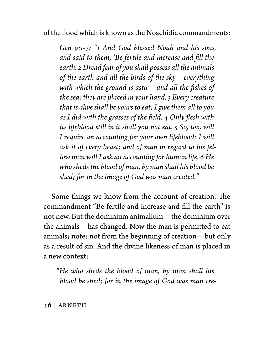of the flood which is known as the Noachidic commandments:

*Gen 9:1-7: "1 And God blessed Noah and his sons, and said to them, 'Be fertile and increase and fill the earth. 2 Dread fear of you shall possess all the animals of the earth and all the birds of the sky—everything with which the ground is astir—and all the fishes of the sea: they are placed in your hand. 3 Every creature that is alive shall be yours to eat; I give them all to you as I did with the grasses of the field. 4 Only flesh with its lifeblood still in it shall you not eat. 5 So, too, will I require an accounting for your own lifeblood: I will ask it of every beast; and of man in regard to his fellow man will I ask an accounting for human life. 6 He who sheds the blood of man, by man shall his blood be shed; for in the image of God was man created."*

Some things we know from the account of creation. The commandment "Be fertile and increase and fill the earth" is not new. But the dominium animalium—the dominium over the animals—has changed. Now the man is permitted to eat animals; note: not from the beginning of creation—but only as a result of sin. And the divine likeness of man is placed in a new context:

*"He who sheds the blood of man, by man shall his blood be shed; for in the image of God was man cre-*

36 | Arneth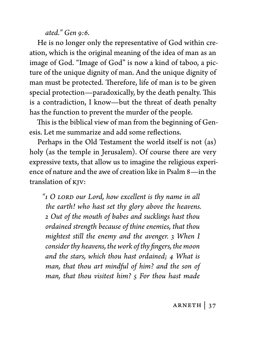*ated." Gen 9:6.*

He is no longer only the representative of God within creation, which is the original meaning of the idea of man as an image of God. "Image of God" is now a kind of taboo, a picture of the unique dignity of man. And the unique dignity of man must be protected. Therefore, life of man is to be given special protection—paradoxically, by the death penalty. This is a contradiction, I know—but the threat of death penalty has the function to prevent the murder of the people.

This is the biblical view of man from the beginning of Genesis. Let me summarize and add some reflections.

Perhaps in the Old Testament the world itself is not (as) holy (as the temple in Jerusalem). Of course there are very expressive texts, that allow us to imagine the religious experience of nature and the awe of creation like in Psalm 8—in the translation of KIV:

*"1 O lord our Lord, how excellent is thy name in all the earth! who hast set thy glory above the heavens. 2 Out of the mouth of babes and sucklings hast thou ordained strength because of thine enemies, that thou mightest still the enemy and the avenger. 3 When I consider thy heavens, the work of thy fingers, the moon and the stars, which thou hast ordained; 4 What is man, that thou art mindful of him? and the son of man, that thou visitest him? 5 For thou hast made*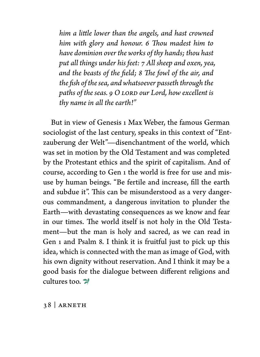*him a little lower than the angels, and hast crowned him with glory and honour. 6 Thou madest him to have dominion over the works of thy hands; thou hast put all things under his feet: 7 All sheep and oxen, yea, and the beasts of the field; 8 The fowl of the air, and the fish of the sea, and whatsoever passeth through the paths of the seas. 9 O lord our Lord, how excellent is thy name in all the earth!"*

But in view of Genesis 1 Max Weber, the famous German sociologist of the last century, speaks in this context of "Entzauberung der Welt"—disenchantment of the world, which was set in motion by the Old Testament and was completed by the Protestant ethics and the spirit of capitalism. And of course, according to Gen 1 the world is free for use and misuse by human beings. "Be fertile and increase, fill the earth and subdue it". This can be misunderstood as a very dangerous commandment, a dangerous invitation to plunder the Earth—with devastating consequences as we know and fear in our times. The world itself is not holy in the Old Testament—but the man is holy and sacred, as we can read in Gen 1 and Psalm 8. I think it is fruitful just to pick up this idea, which is connected with the man as image of God, with his own dignity without reservation. And I think it may be a good basis for the dialogue between different religions and cultures too.  $\rightarrow$ 

38 | Arneth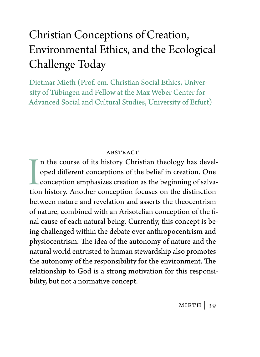# Christian Conceptions of Creation, Environmental Ethics, and the Ecological Challenge Today

Dietmar Mieth (Prof. em. Christian Social Ethics, University of Tübingen and Fellow at the Max Weber Center for Advanced Social and Cultural Studies, University of Erfurt)

#### **ABSTRACT**

 $\blacksquare$ n the course of its history Christian theology has developed different conceptions of the belief in creation. One conception emphasizes creation as the beginning of salvation history. Another conception focuses on t n the course of its history Christian theology has developed different conceptions of the belief in creation. One conception emphasizes creation as the beginning of salvabetween nature and revelation and asserts the theocentrism of nature, combined with an Arisotelian conception of the final cause of each natural being. Currently, this concept is being challenged within the debate over anthropocentrism and physiocentrism. The idea of the autonomy of nature and the natural world entrusted to human stewardship also promotes the autonomy of the responsibility for the environment. The relationship to God is a strong motivation for this responsibility, but not a normative concept.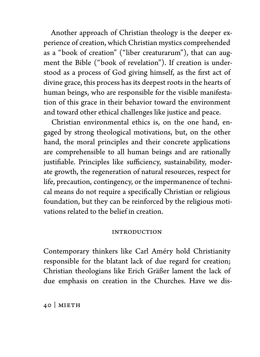Another approach of Christian theology is the deeper experience of creation, which Christian mystics comprehended as a "book of creation" ("liber creaturarum"), that can augment the Bible ("book of revelation"). If creation is understood as a process of God giving himself, as the first act of divine grace, this process has its deepest roots in the hearts of human beings, who are responsible for the visible manifestation of this grace in their behavior toward the environment and toward other ethical challenges like justice and peace.

Christian environmental ethics is, on the one hand, engaged by strong theological motivations, but, on the other hand, the moral principles and their concrete applications are comprehensible to all human beings and are rationally justifiable. Principles like sufficiency, sustainability, moderate growth, the regeneration of natural resources, respect for life, precaution, contingency, or the impermanence of technical means do not require a specifically Christian or religious foundation, but they can be reinforced by the religious motivations related to the belief in creation.

#### Introduction

Contemporary thinkers like Carl Améry hold Christianity responsible for the blatant lack of due regard for creation; Christian theologians like Erich Gräßer lament the lack of due emphasis on creation in the Churches. Have we dis-

40 | Mieth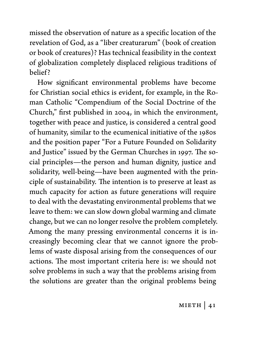missed the observation of nature as a specific location of the revelation of God, as a "liber creaturarum" (book of creation or book of creatures)? Has technical feasibility in the context of globalization completely displaced religious traditions of belief?

How significant environmental problems have become for Christian social ethics is evident, for example, in the Roman Catholic "Compendium of the Social Doctrine of the Church," first published in 2004, in which the environment, together with peace and justice, is considered a central good of humanity, similar to the ecumenical initiative of the 1980s and the position paper "For a Future Founded on Solidarity and Justice" issued by the German Churches in 1997. The social principles—the person and human dignity, justice and solidarity, well-being—have been augmented with the principle of sustainability. The intention is to preserve at least as much capacity for action as future generations will require to deal with the devastating environmental problems that we leave to them: we can slow down global warming and climate change, but we can no longer resolve the problem completely. Among the many pressing environmental concerns it is increasingly becoming clear that we cannot ignore the problems of waste disposal arising from the consequences of our actions. The most important criteria here is: we should not solve problems in such a way that the problems arising from the solutions are greater than the original problems being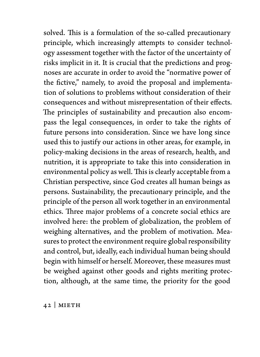solved. This is a formulation of the so-called precautionary principle, which increasingly attempts to consider technology assessment together with the factor of the uncertainty of risks implicit in it. It is crucial that the predictions and prognoses are accurate in order to avoid the "normative power of the fictive," namely, to avoid the proposal and implementation of solutions to problems without consideration of their consequences and without misrepresentation of their effects. The principles of sustainability and precaution also encompass the legal consequences, in order to take the rights of future persons into consideration. Since we have long since used this to justify our actions in other areas, for example, in policy-making decisions in the areas of research, health, and nutrition, it is appropriate to take this into consideration in environmental policy as well. This is clearly acceptable from a Christian perspective, since God creates all human beings as persons. Sustainability, the precautionary principle, and the principle of the person all work together in an environmental ethics. Three major problems of a concrete social ethics are involved here: the problem of globalization, the problem of weighing alternatives, and the problem of motivation. Measures to protect the environment require global responsibility and control, but, ideally, each individual human being should begin with himself or herself. Moreover, these measures must be weighed against other goods and rights meriting protection, although, at the same time, the priority for the good

42 | Mieth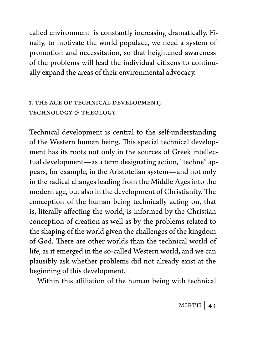called environment is constantly increasing dramatically. Finally, to motivate the world populace, we need a system of promotion and necessitation, so that heightened awareness of the problems will lead the individual citizens to continually expand the areas of their environmental advocacy.

# 1. The Age of Technical Development, Technology *&* Theology

Technical development is central to the self-understanding of the Western human being. This special technical development has its roots not only in the sources of Greek intellectual development—as a term designating action, "techne" appears, for example, in the Aristotelian system—and not only in the radical changes leading from the Middle Ages into the modern age, but also in the development of Christianity. The conception of the human being technically acting on, that is, literally affecting the world, is informed by the Christian conception of creation as well as by the problems related to the shaping of the world given the challenges of the kingdom of God. There are other worlds than the technical world of life, as it emerged in the so-called Western world, and we can plausibly ask whether problems did not already exist at the beginning of this development.

Within this affiliation of the human being with technical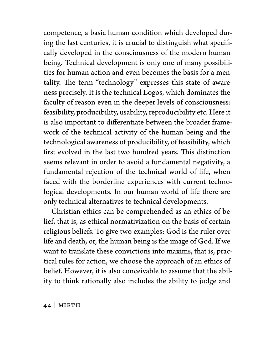competence, a basic human condition which developed during the last centuries, it is crucial to distinguish what specifically developed in the consciousness of the modern human being. Technical development is only one of many possibilities for human action and even becomes the basis for a mentality. The term "technology" expresses this state of awareness precisely. It is the technical Logos, which dominates the faculty of reason even in the deeper levels of consciousness: feasibility, producibility, usability, reproducibility etc. Here it is also important to differentiate between the broader framework of the technical activity of the human being and the technological awareness of producibility, of feasibility, which first evolved in the last two hundred years. This distinction seems relevant in order to avoid a fundamental negativity, a fundamental rejection of the technical world of life, when faced with the borderline experiences with current technological developments. In our human world of life there are only technical alternatives to technical developments.

Christian ethics can be comprehended as an ethics of belief, that is, as ethical normativization on the basis of certain religious beliefs. To give two examples: God is the ruler over life and death, or, the human being is the image of God. If we want to translate these convictions into maxims, that is, practical rules for action, we choose the approach of an ethics of belief. However, it is also conceivable to assume that the ability to think rationally also includes the ability to judge and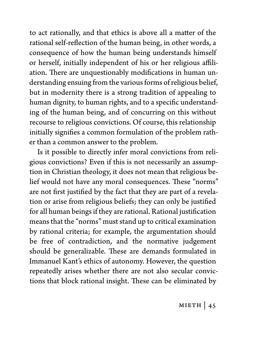to act rationally, and that ethics is above all a matter of the rational self-reflection of the human being, in other words, a consequence of how the human being understands himself or herself, initially independent of his or her religious affiliation. There are unquestionably modifications in human understanding ensuing from the various forms of religious belief, but in modernity there is a strong tradition of appealing to human dignity, to human rights, and to a specific understanding of the human being, and of concurring on this without recourse to religious convictions. Of course, this relationship initially signifies a common formulation of the problem rather than a common answer to the problem.

Is it possible to directly infer moral convictions from religious convictions? Even if this is not necessarily an assumption in Christian theology, it does not mean that religious belief would not have any moral consequences. These "norms" are not first justified by the fact that they are part of a revelation or arise from religious beliefs; they can only be justified for all human beings if they are rational. Rational justification means that the "norms" must stand up to critical examination by rational criteria; for example, the argumentation should be free of contradiction, and the normative judgement should be generalizable. These are demands formulated in Immanuel Kant's ethics of autonomy. However, the question repeatedly arises whether there are not also secular convictions that block rational insight. These can be eliminated by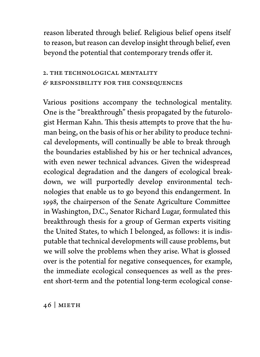reason liberated through belief. Religious belief opens itself to reason, but reason can develop insight through belief, even beyond the potential that contemporary trends offer it.

### 2. The Technological Mentality *&* Responsibility for the Consequences

Various positions accompany the technological mentality. One is the "breakthrough" thesis propagated by the futurologist Herman Kahn. This thesis attempts to prove that the human being, on the basis of his or her ability to produce technical developments, will continually be able to break through the boundaries established by his or her technical advances, with even newer technical advances. Given the widespread ecological degradation and the dangers of ecological breakdown, we will purportedly develop environmental technologies that enable us to go beyond this endangerment. In 1998, the chairperson of the Senate Agriculture Committee in Washington, D.C., Senator Richard Lugar, formulated this breakthrough thesis for a group of German experts visiting the United States, to which I belonged, as follows: it is indisputable that technical developments will cause problems, but we will solve the problems when they arise. What is glossed over is the potential for negative consequences, for example, the immediate ecological consequences as well as the present short-term and the potential long-term ecological conse-

46 | Mieth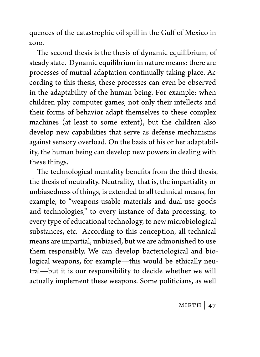quences of the catastrophic oil spill in the Gulf of Mexico in 2010.

The second thesis is the thesis of dynamic equilibrium, of steady state. Dynamic equilibrium in nature means: there are processes of mutual adaptation continually taking place. According to this thesis, these processes can even be observed in the adaptability of the human being. For example: when children play computer games, not only their intellects and their forms of behavior adapt themselves to these complex machines (at least to some extent), but the children also develop new capabilities that serve as defense mechanisms against sensory overload. On the basis of his or her adaptability, the human being can develop new powers in dealing with these things.

The technological mentality benefits from the third thesis, the thesis of neutrality. Neutrality, that is, the impartiality or unbiasedness of things, is extended to all technical means, for example, to "weapons-usable materials and dual-use goods and technologies," to every instance of data processing, to every type of educational technology, to new microbiological substances, etc. According to this conception, all technical means are impartial, unbiased, but we are admonished to use them responsibly. We can develop bacteriological and biological weapons, for example—this would be ethically neutral—but it is our responsibility to decide whether we will actually implement these weapons. Some politicians, as well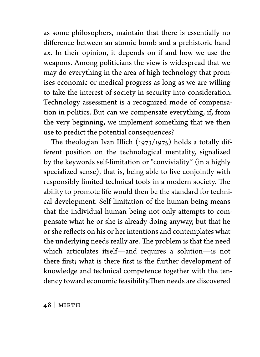as some philosophers, maintain that there is essentially no difference between an atomic bomb and a prehistoric hand ax. In their opinion, it depends on if and how we use the weapons. Among politicians the view is widespread that we may do everything in the area of high technology that promises economic or medical progress as long as we are willing to take the interest of society in security into consideration. Technology assessment is a recognized mode of compensation in politics. But can we compensate everything, if, from the very beginning, we implement something that we then use to predict the potential consequences?

The theologian Ivan Illich (1973/1975) holds a totally different position on the technological mentality, signalized by the keywords self-limitation or "conviviality" (in a highly specialized sense), that is, being able to live conjointly with responsibly limited technical tools in a modern society. The ability to promote life would then be the standard for technical development. Self-limitation of the human being means that the individual human being not only attempts to compensate what he or she is already doing anyway, but that he or she reflects on his or her intentions and contemplates what the underlying needs really are. The problem is that the need which articulates itself—and requires a solution—is not there first; what is there first is the further development of knowledge and technical competence together with the tendency toward economic feasibility.Then needs are discovered

48 | Mieth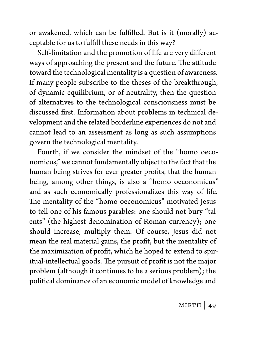or awakened, which can be fulfilled. But is it (morally) acceptable for us to fulfill these needs in this way?

Self-limitation and the promotion of life are very different ways of approaching the present and the future. The attitude toward the technological mentality is a question of awareness. If many people subscribe to the theses of the breakthrough, of dynamic equilibrium, or of neutrality, then the question of alternatives to the technological consciousness must be discussed first. Information about problems in technical development and the related borderline experiences do not and cannot lead to an assessment as long as such assumptions govern the technological mentality.

Fourth, if we consider the mindset of the "homo oeconomicus," we cannot fundamentally object to the fact that the human being strives for ever greater profits, that the human being, among other things, is also a "homo oeconomicus" and as such economically professionalizes this way of life. The mentality of the "homo oeconomicus" motivated Jesus to tell one of his famous parables: one should not bury "talents" (the highest denomination of Roman currency); one should increase, multiply them. Of course, Jesus did not mean the real material gains, the profit, but the mentality of the maximization of profit, which he hoped to extend to spiritual-intellectual goods. The pursuit of profit is not the major problem (although it continues to be a serious problem); the political dominance of an economic model of knowledge and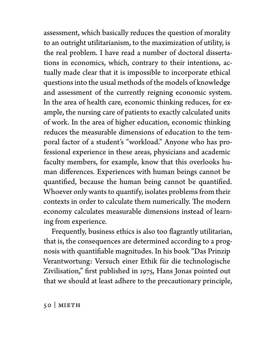assessment, which basically reduces the question of morality to an outright utilitarianism, to the maximization of utility, is the real problem. I have read a number of doctoral dissertations in economics, which, contrary to their intentions, actually made clear that it is impossible to incorporate ethical questions into the usual methods of the models of knowledge and assessment of the currently reigning economic system. In the area of health care, economic thinking reduces, for example, the nursing care of patients to exactly calculated units of work. In the area of higher education, economic thinking reduces the measurable dimensions of education to the temporal factor of a student's "workload." Anyone who has professional experience in these areas, physicians and academic faculty members, for example, know that this overlooks human differences. Experiences with human beings cannot be quantified, because the human being cannot be quantified. Whoever only wants to quantify, isolates problems from their contexts in order to calculate them numerically. The modern economy calculates measurable dimensions instead of learning from experience.

Frequently, business ethics is also too flagrantly utilitarian, that is, the consequences are determined according to a prognosis with quantifiable magnitudes. In his book "Das Prinzip Verantwortung: Versuch einer Ethik für die technologische Zivilisation," first published in 1975, Hans Jonas pointed out that we should at least adhere to the precautionary principle,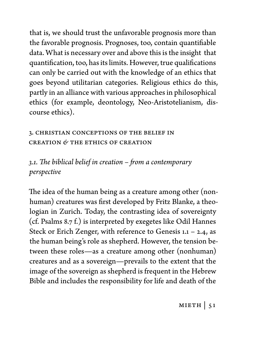that is, we should trust the unfavorable prognosis more than the favorable prognosis. Prognoses, too, contain quantifiable data. What is necessary over and above this is the insight that quantification, too, has its limits. However, true qualifications can only be carried out with the knowledge of an ethics that goes beyond utilitarian categories. Religious ethics do this, partly in an alliance with various approaches in philosophical ethics (for example, deontology, Neo-Aristotelianism, discourse ethics).

### 3. Christian Conceptions of the Belief in Creation *&* the Ethics of Creation

# *3.1. The biblical belief in creation – from a contemporary perspective*

The idea of the human being as a creature among other (nonhuman) creatures was first developed by Fritz Blanke, a theologian in Zurich. Today, the contrasting idea of sovereignty (cf. Psalms 8.7 f.) is interpreted by exegetes like Odil Hannes Steck or Erich Zenger, with reference to Genesis 1.1 – 2.4, as the human being's role as shepherd. However, the tension between these roles—as a creature among other (nonhuman) creatures and as a sovereign—prevails to the extent that the image of the sovereign as shepherd is frequent in the Hebrew Bible and includes the responsibility for life and death of the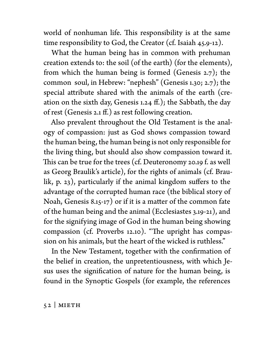world of nonhuman life. This responsibility is at the same time responsibility to God, the Creator (cf. Isaiah 45.9-12).

What the human being has in common with prehuman creation extends to: the soil (of the earth) (for the elements), from which the human being is formed (Genesis 2.7); the common soul, in Hebrew: "nephesh" (Genesis 1.30; 2.7); the special attribute shared with the animals of the earth (creation on the sixth day, Genesis 1.24 ff.); the Sabbath, the day of rest (Genesis 2.1 ff.) as rest following creation.

Also prevalent throughout the Old Testament is the analogy of compassion: just as God shows compassion toward the human being, the human being is not only responsible for the living thing, but should also show compassion toward it. This can be true for the trees (cf. Deuteronomy 20.19 f. as well as Georg Braulik's article), for the rights of animals (cf. Braulik, p. 23), particularly if the animal kingdom suffers to the advantage of the corrupted human race (the biblical story of Noah, Genesis 8.15-17) or if it is a matter of the common fate of the human being and the animal (Ecclesiastes 3.19-21), and for the signifying image of God in the human being showing compassion (cf. Proverbs 12.10). "The upright has compassion on his animals, but the heart of the wicked is ruthless."

In the New Testament, together with the confirmation of the belief in creation, the unpretentiousness, with which Jesus uses the signification of nature for the human being, is found in the Synoptic Gospels (for example, the references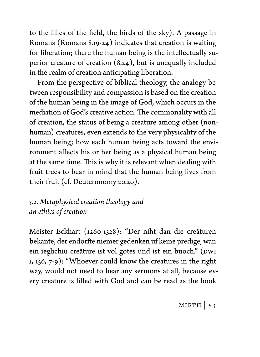to the lilies of the field, the birds of the sky). A passage in Romans (Romans 8.19-24) indicates that creation is waiting for liberation; there the human being is the intellectually superior creature of creation (8.24), but is unequally included in the realm of creation anticipating liberation.

From the perspective of biblical theology, the analogy between responsibility and compassion is based on the creation of the human being in the image of God, which occurs in the mediation of God's creative action. The commonality with all of creation, the status of being a creature among other (nonhuman) creatures, even extends to the very physicality of the human being; how each human being acts toward the environment affects his or her being as a physical human being at the same time. This is why it is relevant when dealing with fruit trees to bear in mind that the human being lives from their fruit (cf. Deuteronomy 20.20).

# *3.2. Metaphysical creation theology and an ethics of creation*

Meister Eckhart (1260-1328): "Der niht dan die creâturen bekante, der endörfte niemer gedenken uf keine predige, wan ein ieglichiu creâture ist vol gotes und ist ein buoch." (DWI i, 156, 7-9): "Whoever could know the creatures in the right way, would not need to hear any sermons at all, because every creature is filled with God and can be read as the book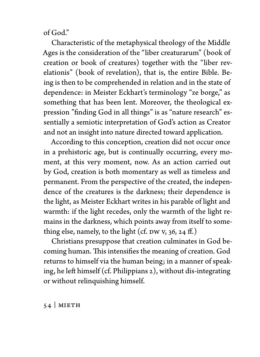of God."

Characteristic of the metaphysical theology of the Middle Ages is the consideration of the "liber creaturarum" (book of creation or book of creatures) together with the "liber revelationis" (book of revelation), that is, the entire Bible. Being is then to be comprehended in relation and in the state of dependence: in Meister Eckhart's terminology "ze borge," as something that has been lent. Moreover, the theological expression "finding God in all things" is as "nature research" essentially a semiotic interpretation of God's action as Creator and not an insight into nature directed toward application.

According to this conception, creation did not occur once in a prehistoric age, but is continually occurring, every moment, at this very moment, now. As an action carried out by God, creation is both momentary as well as timeless and permanent. From the perspective of the created, the independence of the creatures is the darkness; their dependence is the light, as Meister Eckhart writes in his parable of light and warmth: if the light recedes, only the warmth of the light remains in the darkness, which points away from itself to something else, namely, to the light (cf. DW V,  $36$ ,  $24$  ff.)

Christians presuppose that creation culminates in God becoming human. This intensifies the meaning of creation. God returns to himself via the human being; in a manner of speaking, he left himself (cf. Philippians 2), without dis-integrating or without relinquishing himself.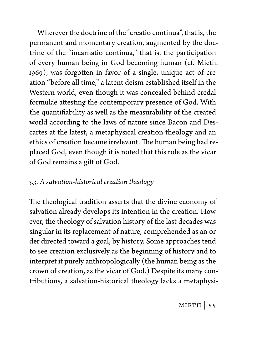Wherever the doctrine of the "creatio continua", that is, the permanent and momentary creation, augmented by the doctrine of the "incarnatio continua," that is, the participation of every human being in God becoming human (cf. Mieth, 1969), was forgotten in favor of a single, unique act of creation "before all time," a latent deism established itself in the Western world, even though it was concealed behind credal formulae attesting the contemporary presence of God. With the quantifiability as well as the measurability of the created world according to the laws of nature since Bacon and Descartes at the latest, a metaphysical creation theology and an ethics of creation became irrelevant. The human being had replaced God, even though it is noted that this role as the vicar of God remains a gift of God.

#### *3.3. A salvation-historical creation theology*

The theological tradition asserts that the divine economy of salvation already develops its intention in the creation. However, the theology of salvation history of the last decades was singular in its replacement of nature, comprehended as an order directed toward a goal, by history. Some approaches tend to see creation exclusively as the beginning of history and to interpret it purely anthropologically (the human being as the crown of creation, as the vicar of God.) Despite its many contributions, a salvation-historical theology lacks a metaphysi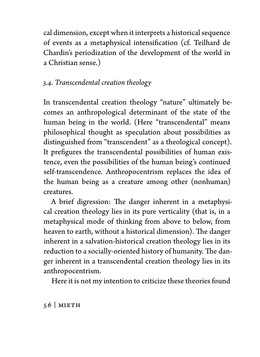cal dimension, except when it interprets a historical sequence of events as a metaphysical intensification (cf. Teilhard de Chardin's periodization of the development of the world in a Christian sense.)

# *3.4. Transcendental creation theology*

In transcendental creation theology "nature" ultimately becomes an anthropological determinant of the state of the human being in the world. (Here "transcendental" means philosophical thought as speculation about possibilities as distinguished from "transcendent" as a theological concept). It prefigures the transcendental possibilities of human existence, even the possibilities of the human being's continued self-transcendence. Anthropocentrism replaces the idea of the human being as a creature among other (nonhuman) creatures.

A brief digression: The danger inherent in a metaphysical creation theology lies in its pure verticality (that is, in a metaphysical mode of thinking from above to below, from heaven to earth, without a historical dimension). The danger inherent in a salvation-historical creation theology lies in its reduction to a socially-oriented history of humanity. The danger inherent in a transcendental creation theology lies in its anthropocentrism.

Here it is not my intention to criticize these theories found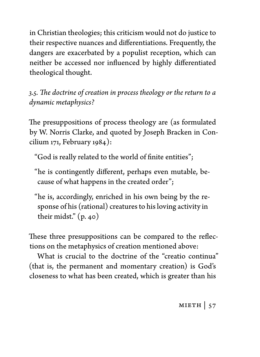in Christian theologies; this criticism would not do justice to their respective nuances and differentiations. Frequently, the dangers are exacerbated by a populist reception, which can neither be accessed nor influenced by highly differentiated theological thought.

*3.5. The doctrine of creation in process theology or the return to a dynamic metaphysics?*

The presuppositions of process theology are (as formulated by W. Norris Clarke, and quoted by Joseph Bracken in Concilium 171, February 1984):

"God is really related to the world of finite entities";

"he is contingently different, perhaps even mutable, because of what happens in the created order";

"he is, accordingly, enriched in his own being by the response of his (rational) creatures to his loving activity in their midst." (p. 40)

These three presuppositions can be compared to the reflections on the metaphysics of creation mentioned above:

What is crucial to the doctrine of the "creatio continua" (that is, the permanent and momentary creation) is God's closeness to what has been created, which is greater than his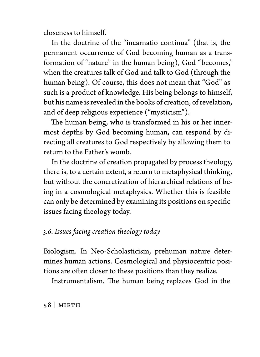closeness to himself.

In the doctrine of the "incarnatio continua" (that is, the permanent occurrence of God becoming human as a transformation of "nature" in the human being), God "becomes," when the creatures talk of God and talk to God (through the human being). Of course, this does not mean that "God" as such is a product of knowledge. His being belongs to himself, but his name is revealed in the books of creation, of revelation, and of deep religious experience ("mysticism").

The human being, who is transformed in his or her innermost depths by God becoming human, can respond by directing all creatures to God respectively by allowing them to return to the Father's womb.

In the doctrine of creation propagated by process theology, there is, to a certain extent, a return to metaphysical thinking, but without the concretization of hierarchical relations of being in a cosmological metaphysics. Whether this is feasible can only be determined by examining its positions on specific issues facing theology today.

## *3.6. Issues facing creation theology today*

Biologism. In Neo-Scholasticism, prehuman nature determines human actions. Cosmological and physiocentric positions are often closer to these positions than they realize.

Instrumentalism. The human being replaces God in the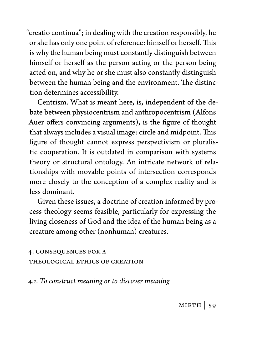"creatio continua"; in dealing with the creation responsibly, he or she has only one point of reference: himself or herself. This is why the human being must constantly distinguish between himself or herself as the person acting or the person being acted on, and why he or she must also constantly distinguish between the human being and the environment. The distinction determines accessibility.

Centrism. What is meant here, is, independent of the debate between physiocentrism and anthropocentrism (Alfons Auer offers convincing arguments), is the figure of thought that always includes a visual image: circle and midpoint. This figure of thought cannot express perspectivism or pluralistic cooperation. It is outdated in comparison with systems theory or structural ontology. An intricate network of relationships with movable points of intersection corresponds more closely to the conception of a complex reality and is less dominant.

Given these issues, a doctrine of creation informed by process theology seems feasible, particularly for expressing the living closeness of God and the idea of the human being as a creature among other (nonhuman) creatures.

4. Consequences for a theological ethics of creation

*4.1. To construct meaning or to discover meaning*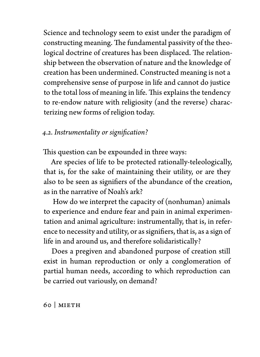Science and technology seem to exist under the paradigm of constructing meaning. The fundamental passivity of the theological doctrine of creatures has been displaced. The relationship between the observation of nature and the knowledge of creation has been undermined. Constructed meaning is not a comprehensive sense of purpose in life and cannot do justice to the total loss of meaning in life. This explains the tendency to re-endow nature with religiosity (and the reverse) characterizing new forms of religion today.

# *4.2. Instrumentality or signification?*

This question can be expounded in three ways:

Are species of life to be protected rationally-teleologically, that is, for the sake of maintaining their utility, or are they also to be seen as signifiers of the abundance of the creation, as in the narrative of Noah's ark?

How do we interpret the capacity of (nonhuman) animals to experience and endure fear and pain in animal experimentation and animal agriculture: instrumentally, that is, in reference to necessity and utility, or as signifiers, that is, as a sign of life in and around us, and therefore solidaristically?

Does a pregiven and abandoned purpose of creation still exist in human reproduction or only a conglomeration of partial human needs, according to which reproduction can be carried out variously, on demand?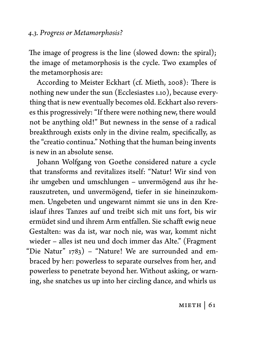The image of progress is the line (slowed down: the spiral); the image of metamorphosis is the cycle. Two examples of the metamorphosis are:

According to Meister Eckhart (cf. Mieth, 2008): There is nothing new under the sun (Ecclesiastes 1.10), because everything that is new eventually becomes old. Eckhart also reverses this progressively: "If there were nothing new, there would not be anything old!" But newness in the sense of a radical breakthrough exists only in the divine realm, specifically, as the "creatio continua." Nothing that the human being invents is new in an absolute sense.

Johann Wolfgang von Goethe considered nature a cycle that transforms and revitalizes itself: "Natur! Wir sind von ihr umgeben und umschlungen – unvermögend aus ihr herauszutreten, und unvermögend, tiefer in sie hineinzukommen. Ungebeten und ungewarnt nimmt sie uns in den Kreislauf ihres Tanzes auf und treibt sich mit uns fort, bis wir ermüdet sind und ihrem Arm entfallen. Sie schafft ewig neue Gestalten: was da ist, war noch nie, was war, kommt nicht wieder – alles ist neu und doch immer das Alte." (Fragment "Die Natur" 1783) – "Nature! We are surrounded and embraced by her: powerless to separate ourselves from her, and powerless to penetrate beyond her. Without asking, or warning, she snatches us up into her circling dance, and whirls us

 $MIETH$  | 61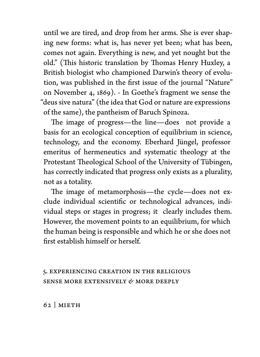until we are tired, and drop from her arms. She is ever shaping new forms: what is, has never yet been; what has been, comes not again. Everything is new, and yet nought but the old." (This historic translation by Thomas Henry Huxley, a British biologist who championed Darwin's theory of evolution, was published in the first issue of the journal "Nature" on November 4, 1869). - In Goethe's fragment we sense the "deus sive natura" (the idea that God or nature are expressions of the same), the pantheism of Baruch Spinoza.

The image of progress—the line—does not provide a basis for an ecological conception of equilibrium in science, technology, and the economy. Eberhard Jüngel, professor emeritus of hermeneutics and systematic theology at the Protestant Theological School of the University of Tübingen, has correctly indicated that progress only exists as a plurality, not as a totality.

The image of metamorphosis—the cycle—does not exclude individual scientific or technological advances, individual steps or stages in progress; it clearly includes them. However, the movement points to an equilibrium, for which the human being is responsible and which he or she does not first establish himself or herself.

### 5. Experiencing creation in the religious sense more extensively *&* more deeply

 $62$  MIETH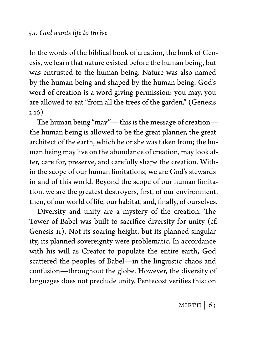### *5.1. God wants life to thrive*

In the words of the biblical book of creation, the book of Genesis, we learn that nature existed before the human being, but was entrusted to the human being. Nature was also named by the human being and shaped by the human being. God's word of creation is a word giving permission: you may, you are allowed to eat "from all the trees of the garden." (Genesis  $2.16)$ 

The human being "may"— this is the message of creation the human being is allowed to be the great planner, the great architect of the earth, which he or she was taken from; the human being may live on the abundance of creation, may look after, care for, preserve, and carefully shape the creation. Within the scope of our human limitations, we are God's stewards in and of this world. Beyond the scope of our human limitation, we are the greatest destroyers, first, of our environment, then, of our world of life, our habitat, and, finally, of ourselves.

Diversity and unity are a mystery of the creation. The Tower of Babel was built to sacrifice diversity for unity (cf. Genesis 11). Not its soaring height, but its planned singularity, its planned sovereignty were problematic. In accordance with his will as Creator to populate the entire earth, God scattered the peoples of Babel—in the linguistic chaos and confusion—throughout the globe. However, the diversity of languages does not preclude unity. Pentecost verifies this: on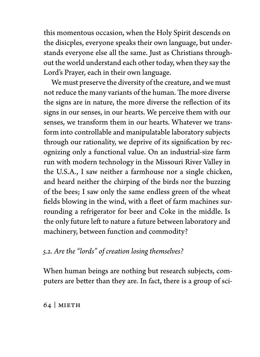this momentous occasion, when the Holy Spirit descends on the disicples, everyone speaks their own language, but understands everyone else all the same. Just as Christians throughout the world understand each other today, when they say the Lord's Prayer, each in their own language.

We must preserve the diversity of the creature, and we must not reduce the many variants of the human. The more diverse the signs are in nature, the more diverse the reflection of its signs in our senses, in our hearts. We perceive them with our senses, we transform them in our hearts. Whatever we transform into controllable and manipulatable laboratory subjects through our rationality, we deprive of its signification by recognizing only a functional value. On an industrial-size farm run with modern technology in the Missouri River Valley in the U.S.A., I saw neither a farmhouse nor a single chicken, and heard neither the chirping of the birds nor the buzzing of the bees; I saw only the same endless green of the wheat fields blowing in the wind, with a fleet of farm machines surrounding a refrigerator for beer and Coke in the middle. Is the only future left to nature a future between laboratory and machinery, between function and commodity?

*5.2. Are the "lords" of creation losing themselves?*

When human beings are nothing but research subjects, computers are better than they are. In fact, there is a group of sci-

 $64$  | MIETH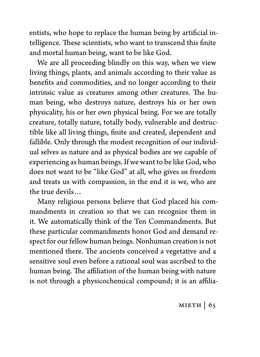entists, who hope to replace the human being by artificial intelligence. These scientists, who want to transcend this finite and mortal human being, want to be like God.

We are all proceeding blindly on this way, when we view living things, plants, and animals according to their value as benefits and commodities, and no longer according to their intrinsic value as creatures among other creatures. The human being, who destroys nature, destroys his or her own physicality, his or her own physical being. For we are totally creature, totally nature, totally body, vulnerable and destructible like all living things, finite and created, dependent and fallible. Only through the modest recognition of our individual selves as nature and as physical bodies are we capable of experiencing as human beings. If we want to be like God, who does not want to be "like God" at all, who gives us freedom and treats us with compassion, in the end it is we, who are the true devils…

Many religious persons believe that God placed his commandments in creation so that we can recognize them in it. We automatically think of the Ten Commandments. But these particular commandments honor God and demand respect for our fellow human beings. Nonhuman creation is not mentioned there. The ancients conceived a vegetative and a sensitive soul even before a rational soul was ascribed to the human being. The affiliation of the human being with nature is not through a physicochemical compound; it is an affilia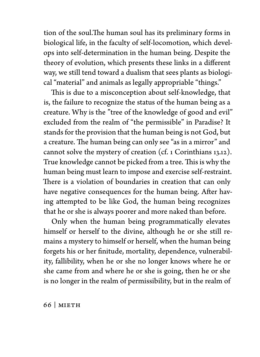tion of the soul.The human soul has its preliminary forms in biological life, in the faculty of self-locomotion, which develops into self-determination in the human being. Despite the theory of evolution, which presents these links in a different way, we still tend toward a dualism that sees plants as biological "material" and animals as legally appropriable "things."

This is due to a misconception about self-knowledge, that is, the failure to recognize the status of the human being as a creature. Why is the "tree of the knowledge of good and evil" excluded from the realm of "the permissible" in Paradise? It stands for the provision that the human being is not God, but a creature. The human being can only see "as in a mirror" and cannot solve the mystery of creation (cf. 1 Corinthians 13.12). True knowledge cannot be picked from a tree. This is why the human being must learn to impose and exercise self-restraint. There is a violation of boundaries in creation that can only have negative consequences for the human being. After having attempted to be like God, the human being recognizes that he or she is always poorer and more naked than before.

Only when the human being programmatically elevates himself or herself to the divine, although he or she still remains a mystery to himself or herself, when the human being forgets his or her finitude, mortality, dependence, vulnerability, fallibility, when he or she no longer knows where he or she came from and where he or she is going, then he or she is no longer in the realm of permissibility, but in the realm of

 $66$  | MIETH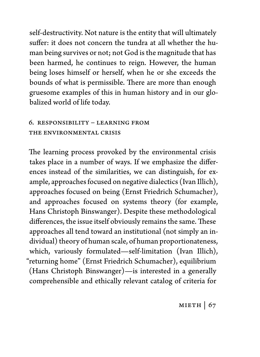self-destructivity. Not nature is the entity that will ultimately suffer: it does not concern the tundra at all whether the human being survives or not; not God is the magnitude that has been harmed, he continues to reign. However, the human being loses himself or herself, when he or she exceeds the bounds of what is permissible. There are more than enough gruesome examples of this in human history and in our globalized world of life today.

## 6. Responsibility – Learning from the environmental crisis

The learning process provoked by the environmental crisis takes place in a number of ways. If we emphasize the differences instead of the similarities, we can distinguish, for example, approaches focused on negative dialectics (Ivan Illich), approaches focused on being (Ernst Friedrich Schumacher), and approaches focused on systems theory (for example, Hans Christoph Binswanger). Despite these methodological differences, the issue itself obviously remains the same. These approaches all tend toward an institutional (not simply an individual) theory of human scale, of human proportionateness, which, variously formulated—self-limitation (Ivan Illich), "returning home" (Ernst Friedrich Schumacher), equilibrium (Hans Christoph Binswanger)—is interested in a generally comprehensible and ethically relevant catalog of criteria for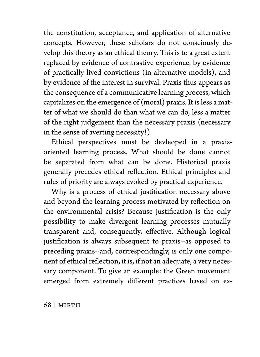the constitution, acceptance, and application of alternative concepts. However, these scholars do not consciously develop this theory as an ethical theory. This is to a great extent replaced by evidence of contrastive experience, by evidence of practically lived convictions (in alternative models), and by evidence of the interest in survival. Praxis thus appears as the consequence of a communicative learning process, which capitalizes on the emergence of (moral) praxis. It is less a matter of what we should do than what we can do, less a matter of the right judgement than the necessary praxis (necessary in the sense of averting necessity!).

Ethical perspectives must be devleoped in a praxisoriented learning process. What should be done cannot be separated from what can be done. Historical praxis generally precedes ethical reflection. Ethical principles and rules of priority are always evoked by practical experience.

Why is a process of ethical justification necessary above and beyond the learning process motivated by reflection on the environmental crisis? Because justification is the only possibility to make divergent learning processes mutually transparent and, consequently, effective. Although logical justification is always subsequent to praxis--as opposed to preceding praxis--and, corrrespondingly, is only one component of ethical reflection, it is, if not an adequate, a very necessary component. To give an example: the Green movement emerged from extremely different practices based on ex-

68 | Mieth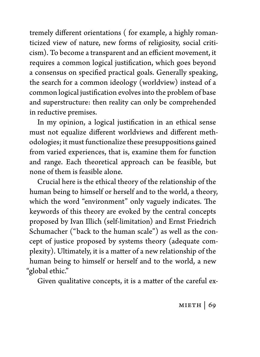tremely different orientations ( for example, a highly romanticized view of nature, new forms of religiosity, social criticism). To become a transparent and an efficient movement, it requires a common logical justification, which goes beyond a consensus on specified practical goals. Generally speaking, the search for a common ideology (worldview) instead of a common logical justification evolves into the problem of base and superstructure: then reality can only be comprehended in reductive premises.

In my opinion, a logical justification in an ethical sense must not equalize different worldviews and different methodologies; it must functionalize these presuppositions gained from varied experiences, that is, examine them for function and range. Each theoretical approach can be feasible, but none of them is feasible alone.

Crucial here is the ethical theory of the relationship of the human being to himself or herself and to the world, a theory, which the word "environment" only vaguely indicates. The keywords of this theory are evoked by the central concepts proposed by Ivan Illich (self-limitation) and Ernst Friedrich Schumacher ("back to the human scale") as well as the concept of justice proposed by systems theory (adequate complexity). Ultimately, it is a matter of a new relationship of the human being to himself or herself and to the world, a new "global ethic."

Given qualitative concepts, it is a matter of the careful ex-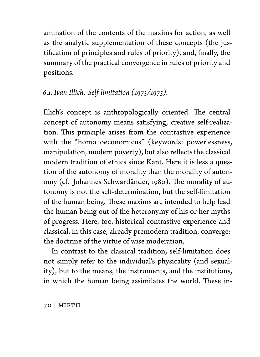amination of the contents of the maxims for action, as well as the analytic supplementation of these concepts (the justification of principles and rules of priority), and, finally, the summary of the practical convergence in rules of priority and positions.

## *6.1. Ivan Illich: Self-limitation (1973/1975).*

Illich's concept is anthropologically oriented. The central concept of autonomy means satisfying, creative self-realization. This principle arises from the contrastive experience with the "homo oeconomicus" (keywords: powerlessness, manipulation, modern poverty), but also reflects the classical modern tradition of ethics since Kant. Here it is less a question of the autonomy of morality than the morality of autonomy (cf. Johannes Schwartländer, 1980). The morality of autonomy is not the self-determination, but the self-limitation of the human being. These maxims are intended to help lead the human being out of the heteronymy of his or her myths of progress. Here, too, historical contrastive experience and classical, in this case, already premodern tradition, converge: the doctrine of the virtue of wise moderation.

In contrast to the classical tradition, self-limitation does not simply refer to the individual's physicality (and sexuality), but to the means, the instruments, and the institutions, in which the human being assimilates the world. These in-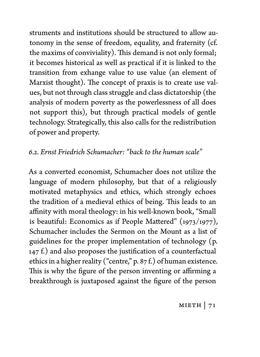struments and institutions should be structured to allow autonomy in the sense of freedom, equality, and fraternity (cf. the maxims of conviviality). This demand is not only formal; it becomes historical as well as practical if it is linked to the transition from exhange value to use value (an element of Marxist thought). The concept of praxis is to create use values, but not through class struggle and class dictatorship (the analysis of modern poverty as the powerlessness of all does not support this), but through practical models of gentle technology. Strategically, this also calls for the redistribution of power and property.

## *6.2. Ernst Friedrich Schumacher: "back to the human scale"*

As a converted economist, Schumacher does not utilize the language of modern philosophy, but that of a religiously motivated metaphysics and ethics, which strongly echoes the tradition of a medieval ethics of being. This leads to an affinity with moral theology: in his well-known book, "Small is beautiful: Economics as if People Mattered"  $(1973/1977)$ , Schumacher includes the Sermon on the Mount as a list of guidelines for the proper implementation of technology (p. 147 f.) and also proposes the justification of a counterfactual ethics in a higher reality ("centre," p. 87 f.) of human existence. This is why the figure of the person inventing or affirming a breakthrough is juxtaposed against the figure of the person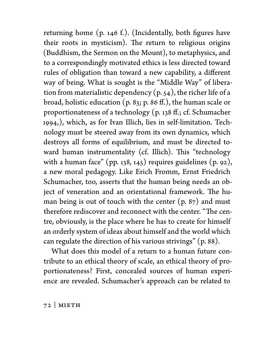returning home (p. 146 f.). (Incidentally, both figures have their roots in mysticism). The return to religious origins (Buddhism, the Sermon on the Mount), to metaphysics, and to a correspondingly motivated ethics is less directed toward rules of obligation than toward a new capability, a different way of being. What is sought is the "Middle Way" of liberation from materialistic dependency  $(p, 54)$ , the richer life of a broad, holistic education (p. 83; p. 86 ff.), the human scale or proportionateness of a technology (p. 138 ff.; cf. Schumacher 1994,), which, as for Ivan Illich, lies in self-limitation. Technology must be steered away from its own dynamics, which destroys all forms of equilibrium, and must be directed toward human instrumentality (cf. Illich). This "technology with a human face" (pp. 138, 145) requires guidelines (p. 92), a new moral pedagogy. Like Erich Fromm, Ernst Friedrich Schumacher, too, asserts that the human being needs an object of veneration and an orientational framework. The human being is out of touch with the center  $(p, 87)$  and must therefore rediscover and reconnect with the center. "The centre, obviously, is the place where he has to create for himself an orderly system of ideas about himself and the world which can regulate the direction of his various strivings" (p. 88).

What does this model of a return to a human future contribute to an ethical theory of scale, an ethical theory of proportionateness? First, concealed sources of human experience are revealed. Schumacher's approach can be related to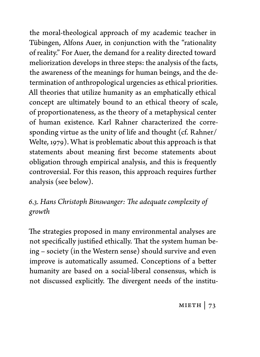the moral-theological approach of my academic teacher in Tübingen, Alfons Auer, in conjunction with the "rationality of reality." For Auer, the demand for a reality directed toward meliorization develops in three steps: the analysis of the facts, the awareness of the meanings for human beings, and the determination of anthropological urgencies as ethical priorities. All theories that utilize humanity as an emphatically ethical concept are ultimately bound to an ethical theory of scale, of proportionateness, as the theory of a metaphysical center of human existence. Karl Rahner characterized the corresponding virtue as the unity of life and thought (cf. Rahner/ Welte, 1979). What is problematic about this approach is that statements about meaning first become statements about obligation through empirical analysis, and this is frequently controversial. For this reason, this approach requires further analysis (see below).

## *6.3. Hans Christoph Binswanger: The adequate complexity of growth*

The strategies proposed in many environmental analyses are not specifically justified ethically. That the system human being – society (in the Western sense) should survive and even improve is automatically assumed. Conceptions of a better humanity are based on a social-liberal consensus, which is not discussed explicitly. The divergent needs of the institu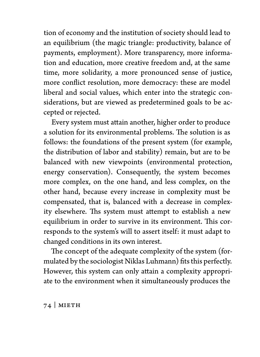tion of economy and the institution of society should lead to an equilibrium (the magic triangle: productivity, balance of payments, employment). More transparency, more information and education, more creative freedom and, at the same time, more solidarity, a more pronounced sense of justice, more conflict resolution, more democracy: these are model liberal and social values, which enter into the strategic considerations, but are viewed as predetermined goals to be accepted or rejected.

Every system must attain another, higher order to produce a solution for its environmental problems. The solution is as follows: the foundations of the present system (for example, the distribution of labor and stability) remain, but are to be balanced with new viewpoints (environmental protection, energy conservation). Consequently, the system becomes more complex, on the one hand, and less complex, on the other hand, because every increase in complexity must be compensated, that is, balanced with a decrease in complexity elsewhere. Ths system must attempt to establish a new equilibrium in order to survive in its environment. This corresponds to the system's will to assert itself: it must adapt to changed conditions in its own interest.

The concept of the adequate complexity of the system (formulated by the sociologist Niklas Luhmann) fits this perfectly. However, this system can only attain a complexity appropriate to the environment when it simultaneously produces the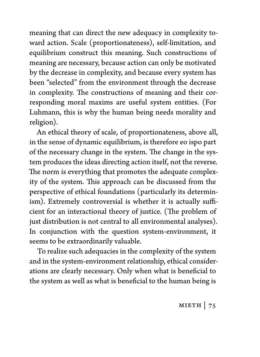meaning that can direct the new adequacy in complexity toward action. Scale (proportionateness), self-limitation, and equilibrium construct this meaning. Such constructions of meaning are necessary, because action can only be motivated by the decrease in complexity, and because every system has been "selected" from the environment through the decrease in complexity. The constructions of meaning and their corresponding moral maxims are useful system entities. (For Luhmann, this is why the human being needs morality and religion).

An ethical theory of scale, of proportionateness, above all, in the sense of dynamic equilibrium, is therefore eo ispo part of the necessary change in the system. The change in the system produces the ideas directing action itself, not the reverse. The norm is everything that promotes the adequate complexity of the system. This approach can be discussed from the perspective of ethical foundations (particularly its determinism). Extremely controversial is whether it is actually sufficient for an interactional theory of justice. (The problem of just distribution is not central to all environmental analyses). In conjunction with the question system-environment, it seems to be extraordinarily valuable.

To realize such adequacies in the complexity of the system and in the system-environment relationship, ethical considerations are clearly necessary. Only when what is beneficial to the system as well as what is beneficial to the human being is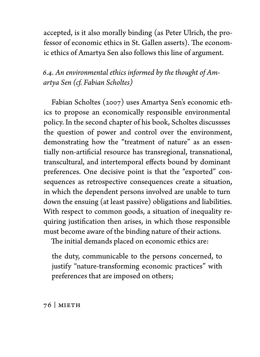accepted, is it also morally binding (as Peter Ulrich, the professor of economic ethics in St. Gallen asserts). The economic ethics of Amartya Sen also follows this line of argument.

## *6.4. An environmental ethics informed by the thought of Amartya Sen (cf. Fabian Scholtes)*

Fabian Scholtes (2007) uses Amartya Sen's economic ethics to propose an economically responsible environmental policy. In the second chapter of his book, Scholtes discussses the question of power and control over the environment, demonstrating how the "treatment of nature" as an essentially non-artificial resource has transregional, transnational, transcultural, and intertemporal effects bound by dominant preferences. One decisive point is that the "exported" consequences as retrospective consequences create a situation, in which the dependent persons involved are unable to turn down the ensuing (at least passive) obligations and liabilities. With respect to common goods, a situation of inequality requiring justification then arises, in which those responsible must become aware of the binding nature of their actions.

The initial demands placed on economic ethics are:

the duty, communicable to the persons concerned, to justify "nature-transforming economic practices" with preferences that are imposed on others;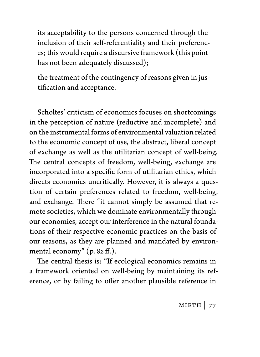its acceptability to the persons concerned through the inclusion of their self-referentiality and their preferences; this would require a discursive framework (this point has not been adequately discussed);

the treatment of the contingency of reasons given in justification and acceptance.

Scholtes' criticism of economics focuses on shortcomings in the perception of nature (reductive and incomplete) and on the instrumental forms of environmental valuation related to the economic concept of use, the abstract, liberal concept of exchange as well as the utilitarian concept of well-being. The central concepts of freedom, well-being, exchange are incorporated into a specific form of utilitarian ethics, which directs economics uncritically. However, it is always a question of certain preferences related to freedom, well-being, and exchange. There "it cannot simply be assumed that remote societies, which we dominate environmentally through our economies, accept our interference in the natural foundations of their respective economic practices on the basis of our reasons, as they are planned and mandated by environmental economy" (p. 82 ff.).

The central thesis is: "If ecological economics remains in a framework oriented on well-being by maintaining its reference, or by failing to offer another plausible reference in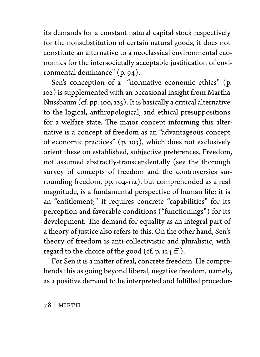its demands for a constant natural capital stock respectively for the nonsubstitution of certain natural goods, it does not constitute an alternative to a neoclassical environmental economics for the intersocietally acceptable justification of environmental dominance" (p. 94).

Sen's conception of a "normative economic ethics" (p. 102) is supplemented with an occasional insight from Martha Nussbaum (cf. pp. 100, 125). It is basically a critical alternative to the logical, anthropological, and ethical presuppositions for a welfare state. The major concept informing this alternative is a concept of freedom as an "advantageous concept of economic practices" (p. 103), which does not exclusively orient these on established, subjective preferences. Freedom, not assumed abstractly-transcendentally (see the thorough survey of concepts of freedom and the controversies surrounding freedom, pp. 104-112), but comprehended as a real magnitude, is a fundamental perspective of human life: it is an "entitlement;" it requires concrete "capabilities" for its perception and favorable conditions ("functionings") for its development. The demand for equality as an integral part of a theory of justice also refers to this. On the other hand, Sen's theory of freedom is anti-collectivistic and pluralistic, with regard to the choice of the good (cf. p. 124 ff.).

For Sen it is a matter of real, concrete freedom. He comprehends this as going beyond liberal, negative freedom, namely, as a positive demand to be interpreted and fulfilled procedur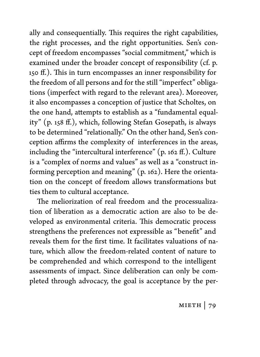ally and consequentially. This requires the right capabilities, the right processes, and the right opportunities. Sen's concept of freedom encompasses "social commitment," which is examined under the broader concept of responsibility (cf. p. 150 ff.). This in turn encompasses an inner responsibility for the freedom of all persons and for the still "imperfect" obligations (imperfect with regard to the relevant area). Moreover, it also encompasses a conception of justice that Scholtes, on the one hand, attempts to establish as a "fundamental equality" (p. 158 ff.), which, following Stefan Gosepath, is always to be determined "relationally." On the other hand, Sen's conception affirms the complexity of interferences in the areas, including the "intercultural interference" (p. 162 ff.). Culture is a "complex of norms and values" as well as a "construct informing perception and meaning" (p. 162). Here the orientation on the concept of freedom allows transformations but ties them to cultural acceptance.

The meliorization of real freedom and the processualization of liberation as a democratic action are also to be developed as environmental criteria. This democratic process strengthens the preferences not expressible as "benefit" and reveals them for the first time. It facilitates valuations of nature, which allow the freedom-related content of nature to be comprehended and which correspond to the intelligent assessments of impact. Since deliberation can only be completed through advocacy, the goal is acceptance by the per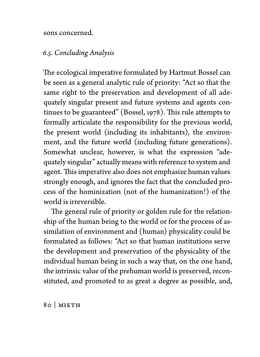sons concerned.

## *6.5. Concluding Analysis*

The ecological imperative formulated by Hartmut Bossel can be seen as a general analytic rule of priority: "Act so that the same right to the preservation and development of all adequately singular present and future systems and agents continues to be guaranteed" (Bossel, 1978). This rule attempts to formally articulate the responsibility for the previous world, the present world (including its inhabitants), the environment, and the future world (including future generations). Somewhat unclear, however, is what the expression "adequately singular" actually means with reference to system and agent. This imperative also does not emphasize human values strongly enough, and ignores the fact that the concluded process of the hominization (not of the humanization!) of the world is irreversible.

The general rule of priority or golden rule for the relationship of the human being to the world or for the process of assimilation of environment and (human) physicality could be formulated as follows: "Act so that human institutions serve the development and preservation of the physicality of the individual human being in such a way that, on the one hand, the intrinsic value of the prehuman world is preserved, reconstituted, and promoted to as great a degree as possible, and,

80 | Mieth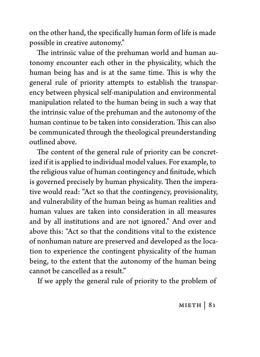on the other hand, the specifically human form of life is made possible in creative autonomy."

The intrinsic value of the prehuman world and human autonomy encounter each other in the physicality, which the human being has and is at the same time. This is why the general rule of priority attempts to establish the transparency between physical self-manipulation and environmental manipulation related to the human being in such a way that the intrinsic value of the prehuman and the autonomy of the human continue to be taken into consideration. This can also be communicated through the theological preunderstanding outlined above.

The content of the general rule of priority can be concretized if it is applied to individual model values. For example, to the religious value of human contingency and finitude, which is governed precisely by human physicality. Then the imperative would read: "Act so that the contingency, provisionality, and vulnerability of the human being as human realities and human values are taken into consideration in all measures and by all institutions and are not ignored." And over and above this: "Act so that the conditions vital to the existence of nonhuman nature are preserved and developed as the location to experience the contingent physicality of the human being, to the extent that the autonomy of the human being cannot be cancelled as a result."

If we apply the general rule of priority to the problem of

 $MIFTH$  | 81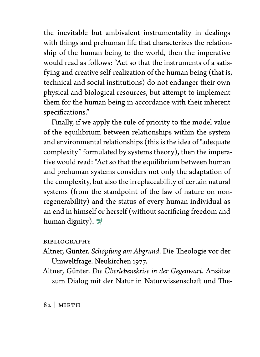the inevitable but ambivalent instrumentality in dealings with things and prehuman life that characterizes the relationship of the human being to the world, then the imperative would read as follows: "Act so that the instruments of a satisfying and creative self-realization of the human being (that is, technical and social institutions) do not endanger their own physical and biological resources, but attempt to implement them for the human being in accordance with their inherent specifications."

Finally, if we apply the rule of priority to the model value of the equilibrium between relationships within the system and environmental relationships (this is the idea of "adequate complexity" formulated by systems theory), then the imperative would read: "Act so that the equilibrium between human and prehuman systems considers not only the adaptation of the complexity, but also the irreplaceability of certain natural systems (from the standpoint of the law of nature on nonregenerability) and the status of every human individual as an end in himself or herself (without sacrificing freedom and human dignity).  $\rightarrow$ 

#### Bibliography

- Altner, Günter. *Schöpfung am Abgrund*. Die Theologie vor der Umweltfrage. Neukirchen 1977.
- Altner, Günter. *Die Überlebenskrise in der Gegenwart*. Ansätze zum Dialog mit der Natur in Naturwissenschaft und The-

#### 82 | Mieth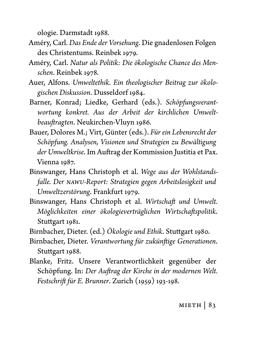ologie. Darmstadt 1988.

- Améry, Carl. *Das Ende der Vorsehung*. Die gnadenlosen Folgen des Christentums. Reinbek 1979.
- Améry, Carl. *Natur als Politik: Die ökologische Chance des Menschen*. Reinbek 1978.
- Auer, Alfons. *Umweltethik. Ein theologischer Beitrag zur ökologischen Diskussion*. Dusseldorf 1984.
- Barner, Konrad; Liedke, Gerhard (eds.). *Schöpfungsverantwortung konkret. Aus der Arbeit der kirchlichen Umweltbeauftragten*. Neukirchen-Vluyn 1986.
- Bauer, Dolores M.; Virt, Günter (eds.). *Für ein Lebensrecht der Schöpfung. Analysen, Visionen und Strategien zu Bewältigung der Umweltkrise*. Im Auftrag der Kommission Justitia et Pax. Vienna 1987.
- Binswanger, Hans Christoph et al. *Wege aus der Wohlstandsfalle. Der NAWU-Report: Strategien gegen Arbeitslosigkeit und Umweltzerstörung*. Frankfurt 1979.
- Binswanger, Hans Christoph et al. *Wirtschaft und Umwelt. Möglichkeiten einer ökologieverträglichen Wirtschaftspolitik*. Stuttgart 1981.
- Birnbacher, Dieter. (ed.) *Ökologie und Ethik*. Stuttgart 1980.
- Birnbacher, Dieter. *Verantwortung für zukünftige Generationen*. Stuttgart 1988.
- Blanke, Fritz. Unsere Verantwortlichkeit gegenüber der Schöpfung. In: *Der Auftrag der Kirche in der modernen Welt. Festschrift für E. Brunner*. Zurich (1959) 193-198.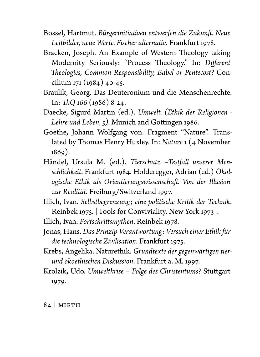- Bossel, Hartmut. *Bürgerinitiativen entwerfen die Zukunft. Neue Leitbilder, neue Werte. Fischer alternativ*. Frankfurt 1978.
- Bracken, Joseph. An Example of Western Theology taking Modernity Seriously: "Process Theology." In: *Different Theologies, Common Responsibility, Babel or Pentecost?* Concilium 171 (1984) 40-45.
- Braulik, Georg. Das Deuteronium und die Menschenrechte. In: *ThQ* 166 (1986) 8-24.
- Daecke, Sigurd Martin (ed.). *Umwelt. (Ethik der Religionen Lehre und Leben, 5).* Munich and Gottingen 1986.
- Goethe, Johann Wolfgang von. Fragment "Nature". Translated by Thomas Henry Huxley. In: *Nature* 1 (4 November 1869).
- Händel, Ursula M. (ed.). *Tierschutz –Testfall unserer Menschlichkeit*. Frankfurt 1984. Holderegger, Adrian (ed.) *Ökologische Ethik als Orientierungswissenschaft. Von der Illusion zur Realität*. Freiburg/Switzerland 1997.
- Illich, Ivan. *Selbstbegrenzung; eine politische Kritik der Technik*. Reinbek 1975. [Tools for Conviviality. New York 1973].

Illich, Ivan. *Fortschrittsmythen*. Reinbek 1978.

- Jonas, Hans. *Das Prinzip Verantwortung: Versuch einer Ethik für die technologische Zivilisation*. Frankfurt 1975.
- Krebs, Angelika. Naturethik. *Grundtexte der gegenwärtigen tierund ökoethischen Diskussion*. Frankfurt a. M. 1997.
- Krolzik, Udo. *Umweltkrise Folge des Christentums?* Stuttgart 1979.

 $84$  | MIETH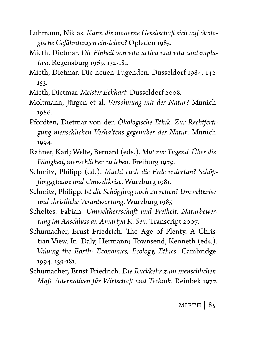- Luhmann, Niklas. *Kann die moderne Gesellschaft sich auf ökologische Gefährdungen einstellen?* Opladen 1985.
- Mieth, Dietmar. *Die Einheit von vita activa und vita contemplativa*. Regensburg 1969. 132-181.
- Mieth, Dietmar. Die neuen Tugenden. Dusseldorf 1984. 142- 153.

Mieth, Dietmar. *Meister Eckhart*. Dusseldorf 2008.

- Moltmann, Jürgen et al. *Versöhnung mit der Natur?* Munich 1986.
- Pfordten, Dietmar von der. *Ökologische Ethik. Zur Rechtfertigung menschlichen Verhaltens gegenüber der Natur*. Munich 1994.
- Rahner, Karl; Welte, Bernard (eds.). *Mut zur Tugend. Über die Fähigkeit, menschlicher zu leben*. Freiburg 1979.
- Schmitz, Philipp (ed.). *Macht euch die Erde untertan? Schöpfungsglaube und Umweltkrise*. Wurzburg 1981.
- Schmitz, Philipp. *Ist die Schöpfung noch zu retten? Umweltkrise und christliche Verantwortung*. Wurzburg 1985.
- Scholtes, Fabian. *Umweltherrschaft und Freiheit. Naturbewertung im Anschluss an Amartya K. Sen*. Transcript 2007.
- Schumacher, Ernst Friedrich. The Age of Plenty. A Christian View. In: Daly, Hermann; Townsend, Kenneth (eds.). *Valuing the Earth: Economics, Ecology, Ethics*. Cambridge 1994. 159-181.
- Schumacher, Ernst Friedrich. *Die Rückkehr zum menschlichen Maß. Alternativen für Wirtschaft und Technik*. Reinbek 1977.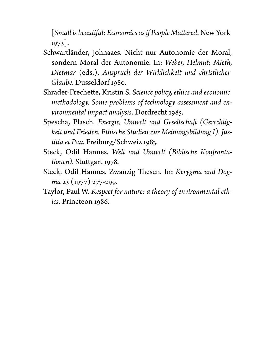[*Small is beautiful: Economics as if People Mattered*. New York 1973].

- Schwartländer, Johnaaes. Nicht nur Autonomie der Moral, sondern Moral der Autonomie. In: *Weber, Helmut; Mieth, Dietmar* (eds.). *Anspruch der Wirklichkeit und christlicher Glaube*. Dusseldorf 1980.
- Shrader-Frechette, Kristin S. *Science policy, ethics and economic methodology. Some problems of technology assessment and environmental impact analysis*. Dordrecht 1985.
- Spescha, Plasch. *Energie, Umwelt und Gesellschaft (Gerechtigkeit und Frieden. Ethische Studien zur Meinungsbildung I). Justitia et Pax*. Freiburg/Schweiz 1983.
- Steck, Odil Hannes. *Welt und Umwelt (Biblische Konfrontationen).* Stuttgart 1978.
- Steck, Odil Hannes. Zwanzig Thesen. In: *Kerygma und Dogma* 23 (1977) 277-299.
- Taylor, Paul W. *Respect for nature: a theory of environmental ethics*. Princteon 1986.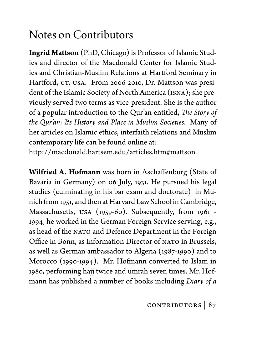## Notes on Contributors

**Ingrid Mattson** (PhD, Chicago) is Professor of Islamic Studies and director of the Macdonald Center for Islamic Studies and Christian-Muslim Relations at Hartford Seminary in Hartford, CT, USA. From 2006-2010, Dr. Mattson was president of the Islamic Society of North America (ISNA); she previously served two terms as vice-president. She is the author of a popular introduction to the Qur'an entitled, *The Story of the Qur'an: Its History and Place in Muslim Societies*. Many of her articles on Islamic ethics, interfaith relations and Muslim contemporary life can be found online at:

http://macdonald.hartsem.edu/articles.htm#mattson

**Wilfried A. Hofmann** was born in Aschaffenburg (State of Bavaria in Germany) on 06 July, 1931. He pursued his legal studies (culminating in his bar exam and doctorate) in Munich from 1951, and then at Harvard Law School in Cambridge, Massachusetts, USA (1959-60). Subsequently, from 1961 - 1994, he worked in the German Foreign Service serving, e.g., as head of the NATO and Defence Department in the Foreign Office in Bonn, as Information Director of NATO in Brussels, as well as German ambassador to Algeria (1987-1990) and to Morocco (1990-1994). Mr. Hofmann converted to Islam in 1980, performing hajj twice and umrah seven times. Mr. Hofmann has published a number of books including *Diary of a* 

CONTRIBUTORS | 87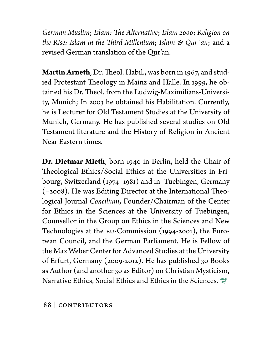*German Muslim*; *Islam: The Alternative*; *Islam 2000*; *Religion on the Rise: Islam in the Third Millenium*; *Islam & Qur`an*; and a revised German translation of the Qur'an.

**Martin Arneth**, Dr. Theol. Habil., was born in 1967, and studied Protestant Theology in Mainz and Halle. In 1999, he obtained his Dr. Theol. from the Ludwig-Maximilians-University, Munich; In 2003 he obtained his Habilitation. Currently, he is Lecturer for Old Testament Studies at the University of Munich, Germany. He has published several studies on Old Testament literature and the History of Religion in Ancient Near Eastern times.

**Dr. Dietmar Mieth**, born 1940 in Berlin, held the Chair of Theological Ethics/Social Ethics at the Universities in Fribourg, Switzerland (1974–1981) and in Tuebingen, Germany (–2008). He was Editing Director at the International Theological Journal *Concilium*, Founder/Chairman of the Center for Ethics in the Sciences at the University of Tuebingen, Counsellor in the Group on Ethics in the Sciences and New Technologies at the EU-Commission (1994-2001), the European Council, and the German Parliament. He is Fellow of the Max Weber Center for Advanced Studies at the University of Erfurt, Germany (2009-2012). He has published 30 Books as Author (and another 30 as Editor) on Christian Mysticism, Narrative Ethics, Social Ethics and Ethics in the Sciences.

88 | CONTRIBUTORS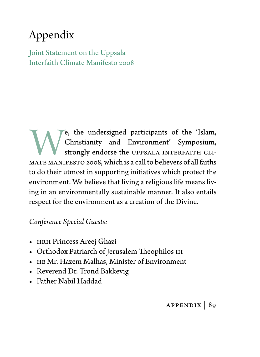# Appendix

Joint Statement on the Uppsala Interfaith Climate Manifesto 2008

We, the undersigned participants of the 'Islam,<br>
strongly endorse the UPPSALA INTERFAITH CLIMATE MANIFESTO 2008, which is a call to believers of all faiths Christianity and Environment' Symposium, strongly endorse the UPPSALA INTERFAITH CLI-MATE MANIFESTO 2008, which is a call to believers of all faiths to do their utmost in supporting initiatives which protect the environment. We believe that living a religious life means living in an environmentally sustainable manner. It also entails respect for the environment as a creation of the Divine.

*Conference Special Guests:*

- • HRH Princess Areej Ghazi
- • Orthodox Patriarch of Jerusalem Theophilos III
- HE Mr. Hazem Malhas, Minister of Environment
- • Reverend Dr. Trond Bakkevig
- • Father Nabil Haddad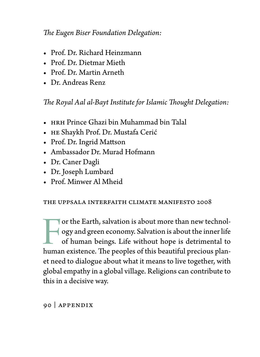## *The Eugen Biser Foundation Delegation:*

- • Prof. Dr. Richard Heinzmann
- • Prof. Dr. Dietmar Mieth
- • Prof. Dr. Martin Arneth
- • Dr. Andreas Renz

## *The Royal Aal al-Bayt Institute for Islamic Thought Delegation:*

- • HRH Prince Ghazi bin Muhammad bin Talal
- • HE Shaykh Prof. Dr. Mustafa Cerić
- • Prof. Dr. Ingrid Mattson
- • Ambassador Dr. Murad Hofmann
- • Dr. Caner Dagli
- • Dr. Joseph Lumbard
- • Prof. Minwer Al Mheid

#### The Uppsala Interfaith Climate Manifesto 2008

 $\blacksquare$  <br> or the Earth, salvation is about more than new technology and green economy. Salvation is about the inner life of human beings. Life without hope is detrimental to human existence. The peoples of this beautiful p or the Earth, salvation is about more than new technology and green economy. Salvation is about the inner life of human beings. Life without hope is detrimental to et need to dialogue about what it means to live together, with global empathy in a global village. Religions can contribute to this in a decisive way.

90 | Appendix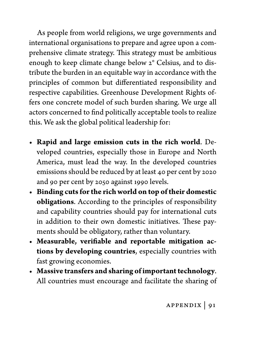As people from world religions, we urge governments and international organisations to prepare and agree upon a comprehensive climate strategy. This strategy must be ambitious enough to keep climate change below 2° Celsius, and to distribute the burden in an equitable way in accordance with the principles of common but differentiated responsibility and respective capabilities. Greenhouse Development Rights offers one concrete model of such burden sharing. We urge all actors concerned to find politically acceptable tools to realize this. We ask the global political leadership for:

- • **Rapid and large emission cuts in the rich world**. Developed countries, especially those in Europe and North America, must lead the way. In the developed countries emissions should be reduced by at least 40 per cent by 2020 and 90 per cent by 2050 against 1990 levels.
- • **Binding cuts for the rich world on top of their domestic obligations**. According to the principles of responsibility and capability countries should pay for international cuts in addition to their own domestic initiatives. These payments should be obligatory, rather than voluntary.
- • **Measurable, verifiable and reportable mitigation actions by developing countries**, especially countries with fast growing economies.
- • **Massive transfers and sharing of important technology**. All countries must encourage and facilitate the sharing of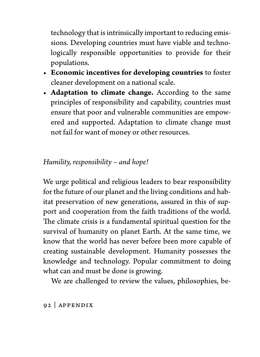technology that is intrinsically important to reducing emissions. Developing countries must have viable and technologically responsible opportunities to provide for their populations.

- • **Economic incentives for developing countries** to foster cleaner development on a national scale.
- • **Adaptation to climate change.** According to the same principles of responsibility and capability, countries must ensure that poor and vulnerable communities are empowered and supported. Adaptation to climate change must not fail for want of money or other resources.

## *Humility, responsibility – and hope!*

We urge political and religious leaders to bear responsibility for the future of our planet and the living conditions and habitat preservation of new generations, assured in this of support and cooperation from the faith traditions of the world. The climate crisis is a fundamental spiritual question for the survival of humanity on planet Earth. At the same time, we know that the world has never before been more capable of creating sustainable development. Humanity possesses the knowledge and technology. Popular commitment to doing what can and must be done is growing.

We are challenged to review the values, philosophies, be-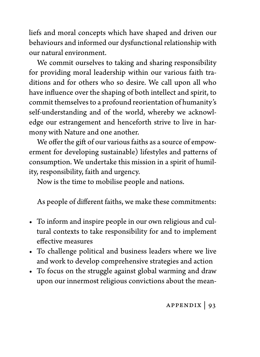liefs and moral concepts which have shaped and driven our behaviours and informed our dysfunctional relationship with our natural environment.

We commit ourselves to taking and sharing responsibility for providing moral leadership within our various faith traditions and for others who so desire. We call upon all who have influence over the shaping of both intellect and spirit, to commit themselves to a profound reorientation of humanity's self-understanding and of the world, whereby we acknowledge our estrangement and henceforth strive to live in harmony with Nature and one another.

We offer the gift of our various faiths as a source of empowerment for developing sustainable) lifestyles and patterns of consumption. We undertake this mission in a spirit of humility, responsibility, faith and urgency.

Now is the time to mobilise people and nations.

As people of different faiths, we make these commitments:

- • To inform and inspire people in our own religious and cultural contexts to take responsibility for and to implement effective measures
- • To challenge political and business leaders where we live and work to develop comprehensive strategies and action
- To focus on the struggle against global warming and draw upon our innermost religious convictions about the mean-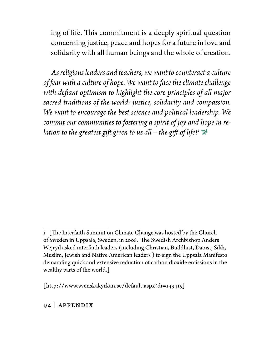ing of life. This commitment is a deeply spiritual question concerning justice, peace and hopes for a future in love and solidarity with all human beings and the whole of creation.

*As religious leaders and teachers, we want to counteract a culture of fear with a culture of hope. We want to face the climate challenge with defiant optimism to highlight the core principles of all major sacred traditions of the world: justice, solidarity and compassion. We want to encourage the best science and political leadership. We commit our communities to fostering a spirit of joy and hope in relation to the greatest gift given to us all – the gift of life!*<sup>1</sup> �

[http://www.svenskakyrkan.se/default.aspx?di=143415]

94 | Appendix

<sup>1 [</sup>The Interfaith Summit on Climate Change was hosted by the Church of Sweden in Uppsala, Sweden, in 2008. The Swedish Archbishop Anders Wejryd asked interfaith leaders (including Christian, Buddhist, Daoist, Sikh, Muslim, Jewish and Native American leaders ) to sign the Uppsala Manifesto demanding quick and extensive reduction of carbon dioxide emissions in the wealthy parts of the world.]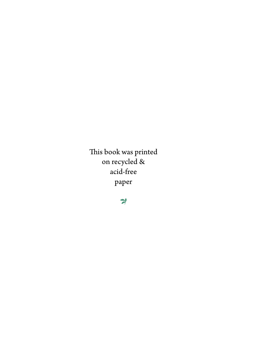This book was printed on recycled & acid-free paper

 $\rightarrow$